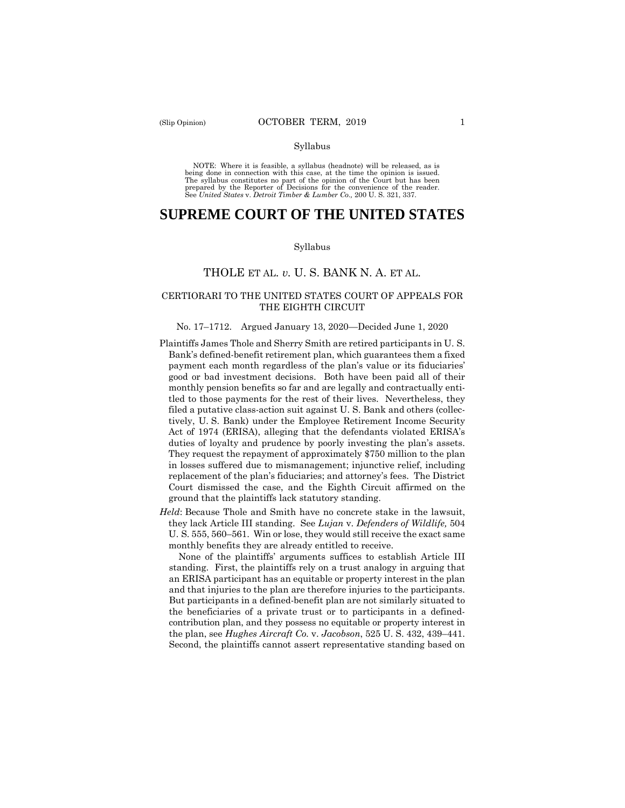#### Syllabus

 NOTE: Where it is feasible, a syllabus (headnote) will be released, as is being done in connection with this case, at the time the opinion is issued. The syllabus constitutes no part of the opinion of the Court but has been<br>prepared by the Reporter of Decisions for the convenience of the reader.<br>See United States v. Detroit Timber & Lumber Co., 200 U.S. 321, 337.

# **SUPREME COURT OF THE UNITED STATES**

#### Syllabus

# THOLE ET AL. *v.* U. S. BANK N. A. ET AL.

### CERTIORARI TO THE UNITED STATES COURT OF APPEALS FOR THE EIGHTH CIRCUIT

#### No. 17–1712. Argued January 13, 2020—Decided June 1, 2020

- Plaintiffs James Thole and Sherry Smith are retired participants in U. S. Bank's defined-benefit retirement plan, which guarantees them a fixed payment each month regardless of the plan's value or its fiduciaries' good or bad investment decisions. Both have been paid all of their monthly pension benefits so far and are legally and contractually entitled to those payments for the rest of their lives. Nevertheless, they filed a putative class-action suit against U. S. Bank and others (collectively, U. S. Bank) under the Employee Retirement Income Security Act of 1974 (ERISA), alleging that the defendants violated ERISA's duties of loyalty and prudence by poorly investing the plan's assets. They request the repayment of approximately \$750 million to the plan in losses suffered due to mismanagement; injunctive relief, including replacement of the plan's fiduciaries; and attorney's fees. The District Court dismissed the case, and the Eighth Circuit affirmed on the ground that the plaintiffs lack statutory standing.
- *Held*: Because Thole and Smith have no concrete stake in the lawsuit, they lack Article III standing. See *Lujan* v. *Defenders of Wildlife,* 504 U. S. 555, 560–561. Win or lose, they would still receive the exact same monthly benefits they are already entitled to receive.

 contribution plan, and they possess no equitable or property interest in None of the plaintiffs' arguments suffices to establish Article III standing. First, the plaintiffs rely on a trust analogy in arguing that an ERISA participant has an equitable or property interest in the plan and that injuries to the plan are therefore injuries to the participants. But participants in a defined-benefit plan are not similarly situated to the beneficiaries of a private trust or to participants in a definedthe plan, see *Hughes Aircraft Co.* v. *Jacobson*, 525 U. S. 432, 439–441. Second, the plaintiffs cannot assert representative standing based on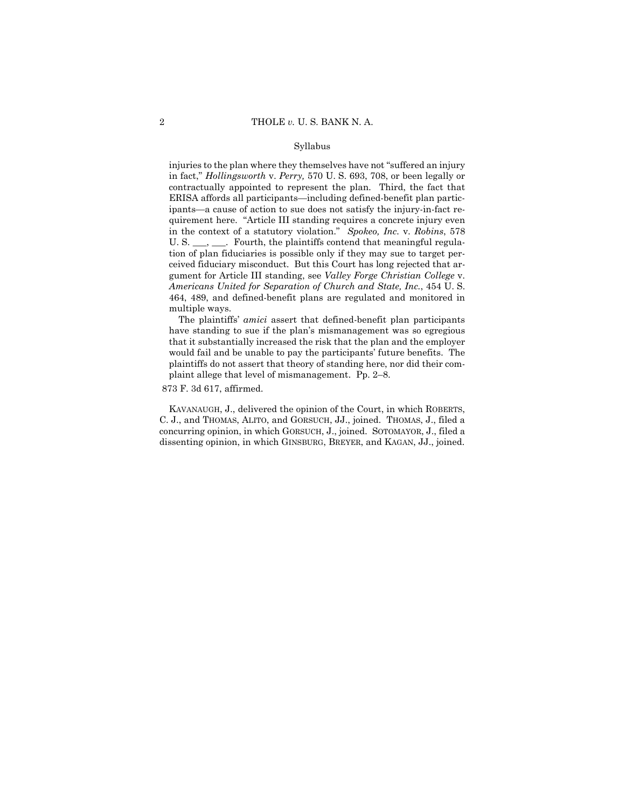#### Syllabus

 multiple ways. injuries to the plan where they themselves have not "suffered an injury in fact," *Hollingsworth* v. *Perry,* 570 U. S. 693, 708, or been legally or contractually appointed to represent the plan. Third, the fact that ERISA affords all participants—including defined-benefit plan participants—a cause of action to sue does not satisfy the injury-in-fact requirement here. "Article III standing requires a concrete injury even in the context of a statutory violation." *Spokeo, Inc.* v. *Robins*, 578 U. S. \_\_\_, \_\_\_. Fourth, the plaintiffs contend that meaningful regulation of plan fiduciaries is possible only if they may sue to target perceived fiduciary misconduct. But this Court has long rejected that argument for Article III standing, see *Valley Forge Christian College* v. *Americans United for Separation of Church and State, Inc.*, 454 U. S. 464, 489, and defined-benefit plans are regulated and monitored in

 The plaintiffs' *amici* assert that defined-benefit plan participants have standing to sue if the plan's mismanagement was so egregious that it substantially increased the risk that the plan and the employer would fail and be unable to pay the participants' future benefits. The plaintiffs do not assert that theory of standing here, nor did their complaint allege that level of mismanagement. Pp. 2–8.

### 873 F. 3d 617, affirmed.

KAVANAUGH, J., delivered the opinion of the Court, in which ROBERTS, C. J., and THOMAS, ALITO, and GORSUCH, JJ., joined. THOMAS, J., filed a concurring opinion, in which GORSUCH, J., joined. SOTOMAYOR, J., filed a dissenting opinion, in which GINSBURG, BREYER, and KAGAN, JJ., joined.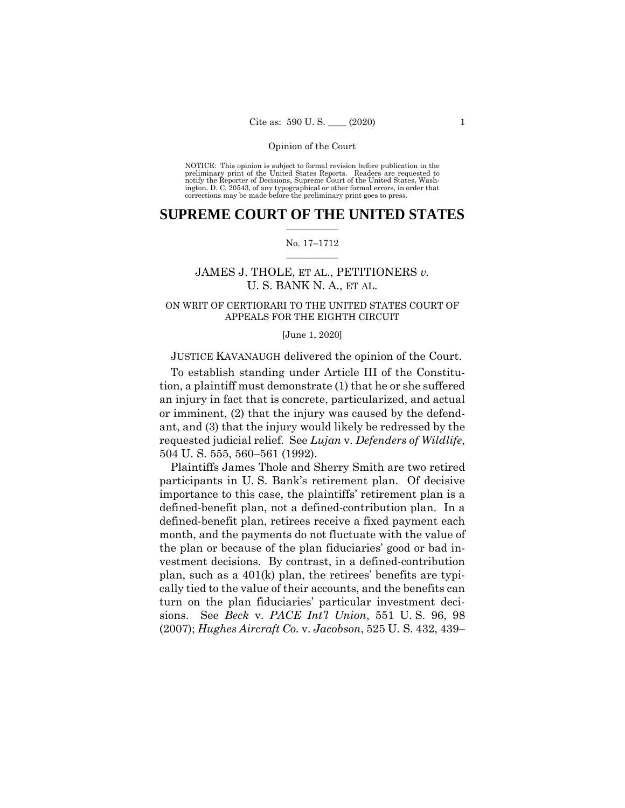NOTICE: This opinion is subject to formal revision before publication in the preliminary print of the United States Reports. Readers are requested to notify the Reporter of Decisions, Supreme Court of the United States, Wash-ington, D. C. 20543, of any typographical or other formal errors, in order that corrections may be made before the preliminary print goes to press.

# $\frac{1}{2}$  ,  $\frac{1}{2}$  ,  $\frac{1}{2}$  ,  $\frac{1}{2}$  ,  $\frac{1}{2}$  ,  $\frac{1}{2}$  ,  $\frac{1}{2}$ **SUPREME COURT OF THE UNITED STATES**

### $\frac{1}{2}$  ,  $\frac{1}{2}$  ,  $\frac{1}{2}$  ,  $\frac{1}{2}$  ,  $\frac{1}{2}$  ,  $\frac{1}{2}$ No. 17–1712

# JAMES J. THOLE, ET AL., PETITIONERS *v.*  U. S. BANK N. A., ET AL.

# ON WRIT OF CERTIORARI TO THE UNITED STATES COURT OF APPEALS FOR THE EIGHTH CIRCUIT

#### [June 1, 2020]

# JUSTICE KAVANAUGH delivered the opinion of the Court.

To establish standing under Article III of the Constitution, a plaintiff must demonstrate (1) that he or she suffered an injury in fact that is concrete, particularized, and actual or imminent, (2) that the injury was caused by the defendant, and (3) that the injury would likely be redressed by the requested judicial relief. See *Lujan* v. *Defenders of Wildlife*, 504 U. S. 555, 560–561 (1992).

Plaintiffs James Thole and Sherry Smith are two retired participants in U. S. Bank's retirement plan. Of decisive importance to this case, the plaintiffs' retirement plan is a defined-benefit plan, not a defined-contribution plan. In a defined-benefit plan, retirees receive a fixed payment each month, and the payments do not fluctuate with the value of the plan or because of the plan fiduciaries' good or bad investment decisions. By contrast, in a defined-contribution plan, such as a 401(k) plan, the retirees' benefits are typically tied to the value of their accounts, and the benefits can turn on the plan fiduciaries' particular investment decisions. See *Beck* v. *PACE Int'l Union*, 551 U. S. 96, 98 (2007); *Hughes Aircraft Co.* v. *Jacobson*, 525 U. S. 432, 439–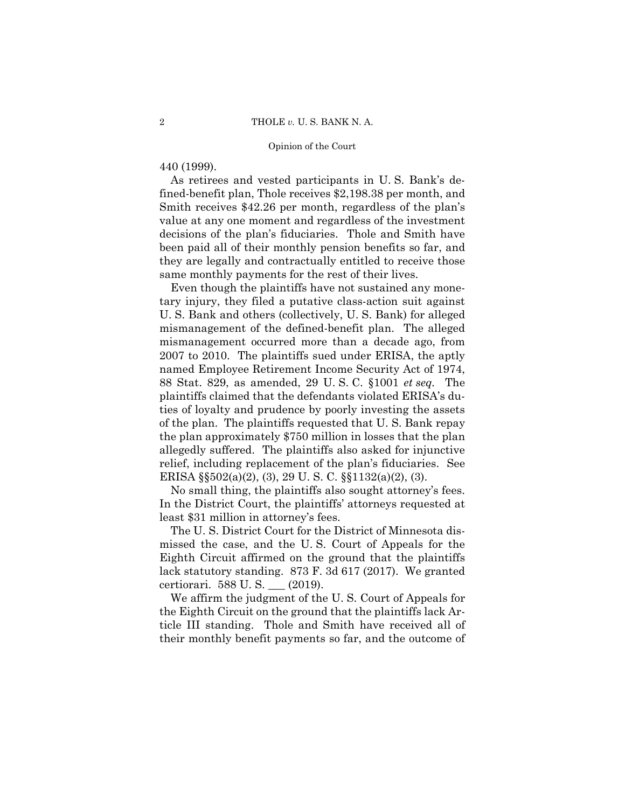# 440 (1999).

As retirees and vested participants in U. S. Bank's defined-benefit plan, Thole receives \$2,198.38 per month, and Smith receives \$42.26 per month, regardless of the plan's value at any one moment and regardless of the investment decisions of the plan's fiduciaries. Thole and Smith have been paid all of their monthly pension benefits so far, and they are legally and contractually entitled to receive those same monthly payments for the rest of their lives.

Even though the plaintiffs have not sustained any monetary injury, they filed a putative class-action suit against U. S. Bank and others (collectively, U. S. Bank) for alleged mismanagement of the defined-benefit plan. The alleged mismanagement occurred more than a decade ago, from 2007 to 2010. The plaintiffs sued under ERISA, the aptly named Employee Retirement Income Security Act of 1974, 88 Stat. 829, as amended, 29 U. S. C. §1001 *et seq.* The plaintiffs claimed that the defendants violated ERISA's duties of loyalty and prudence by poorly investing the assets of the plan. The plaintiffs requested that U. S. Bank repay the plan approximately \$750 million in losses that the plan allegedly suffered. The plaintiffs also asked for injunctive relief, including replacement of the plan's fiduciaries. See ERISA §§502(a)(2), (3), 29 U. S. C. §§1132(a)(2), (3).

No small thing, the plaintiffs also sought attorney's fees. In the District Court, the plaintiffs' attorneys requested at least \$31 million in attorney's fees.

The U. S. District Court for the District of Minnesota dismissed the case, and the U. S. Court of Appeals for the Eighth Circuit affirmed on the ground that the plaintiffs lack statutory standing. 873 F. 3d 617 (2017). We granted certiorari. 588 U. S. \_\_\_ (2019).

We affirm the judgment of the U. S. Court of Appeals for the Eighth Circuit on the ground that the plaintiffs lack Article III standing. Thole and Smith have received all of their monthly benefit payments so far, and the outcome of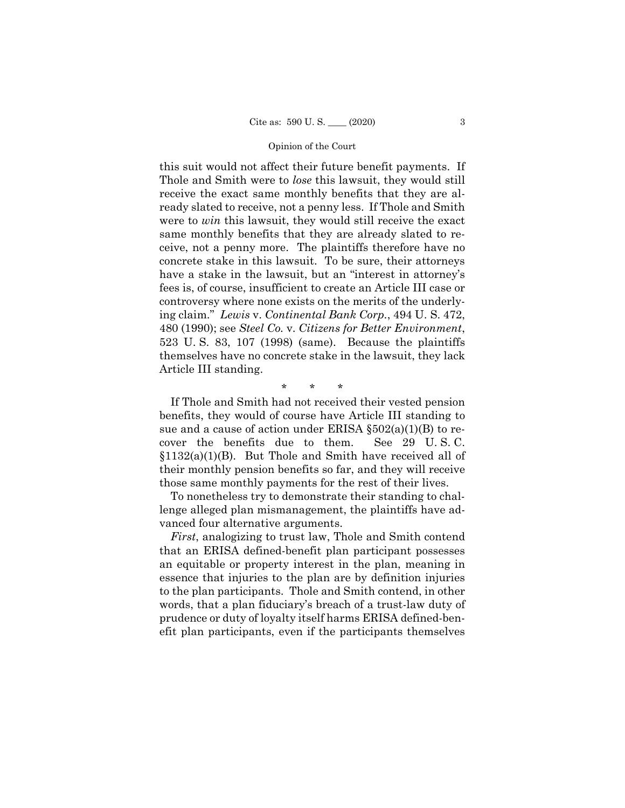this suit would not affect their future benefit payments. If Thole and Smith were to *lose* this lawsuit, they would still receive the exact same monthly benefits that they are already slated to receive, not a penny less. If Thole and Smith were to *win* this lawsuit, they would still receive the exact same monthly benefits that they are already slated to receive, not a penny more. The plaintiffs therefore have no concrete stake in this lawsuit. To be sure, their attorneys have a stake in the lawsuit, but an "interest in attorney's fees is, of course, insufficient to create an Article III case or controversy where none exists on the merits of the underlying claim." *Lewis* v. *Continental Bank Corp.*, 494 U. S. 472, 480 (1990); see *Steel Co.* v. *Citizens for Better Environment*, 523 U. S. 83, 107 (1998) (same). Because the plaintiffs themselves have no concrete stake in the lawsuit, they lack Article III standing.

\* \* \*

If Thole and Smith had not received their vested pension benefits, they would of course have Article III standing to sue and a cause of action under ERISA  $\S502(a)(1)(B)$  to recover the benefits due to them. See 29 U. S. C.  $§1132(a)(1)(B)$ . But Thole and Smith have received all of their monthly pension benefits so far, and they will receive those same monthly payments for the rest of their lives.

To nonetheless try to demonstrate their standing to challenge alleged plan mismanagement, the plaintiffs have advanced four alternative arguments.

*First*, analogizing to trust law, Thole and Smith contend that an ERISA defined-benefit plan participant possesses an equitable or property interest in the plan, meaning in essence that injuries to the plan are by definition injuries to the plan participants. Thole and Smith contend, in other words, that a plan fiduciary's breach of a trust-law duty of prudence or duty of loyalty itself harms ERISA defined-benefit plan participants, even if the participants themselves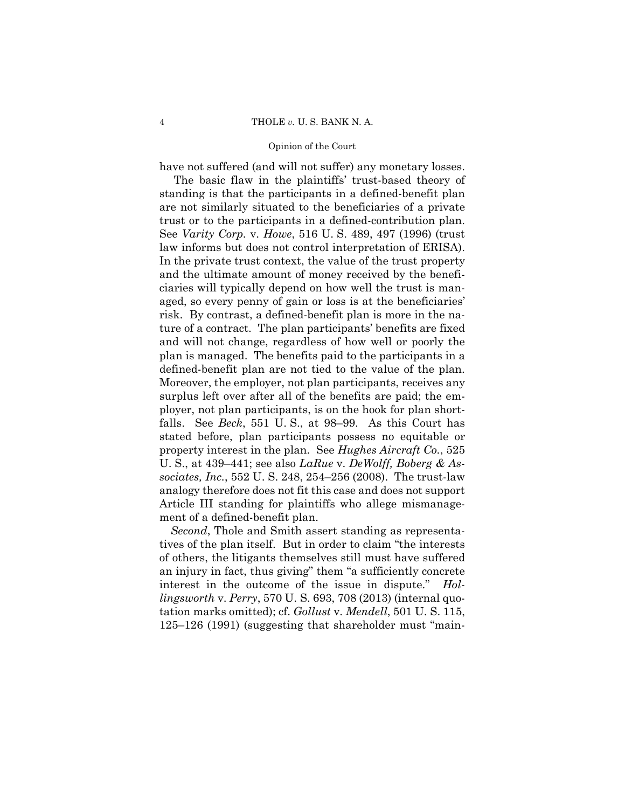have not suffered (and will not suffer) any monetary losses.

The basic flaw in the plaintiffs' trust-based theory of standing is that the participants in a defined-benefit plan are not similarly situated to the beneficiaries of a private trust or to the participants in a defined-contribution plan. See *Varity Corp.* v. *Howe*, 516 U. S. 489, 497 (1996) (trust law informs but does not control interpretation of ERISA). In the private trust context, the value of the trust property and the ultimate amount of money received by the beneficiaries will typically depend on how well the trust is managed, so every penny of gain or loss is at the beneficiaries' risk. By contrast, a defined-benefit plan is more in the nature of a contract. The plan participants' benefits are fixed and will not change, regardless of how well or poorly the plan is managed. The benefits paid to the participants in a defined-benefit plan are not tied to the value of the plan. Moreover, the employer, not plan participants, receives any surplus left over after all of the benefits are paid; the employer, not plan participants, is on the hook for plan shortfalls. See *Beck*, 551 U. S., at 98–99. As this Court has stated before, plan participants possess no equitable or property interest in the plan. See *Hughes Aircraft Co.*, 525 U. S., at 439–441; see also *LaRue* v. *DeWolff, Boberg & Associates, Inc.*, 552 U. S. 248, 254–256 (2008). The trust-law analogy therefore does not fit this case and does not support Article III standing for plaintiffs who allege mismanagement of a defined-benefit plan.

*Second*, Thole and Smith assert standing as representatives of the plan itself. But in order to claim "the interests of others, the litigants themselves still must have suffered an injury in fact, thus giving" them "a sufficiently concrete interest in the outcome of the issue in dispute." *Hollingsworth* v. *Perry*, 570 U. S. 693, 708 (2013) (internal quotation marks omitted); cf. *Gollust* v. *Mendell*, 501 U. S. 115, 125–126 (1991) (suggesting that shareholder must "main-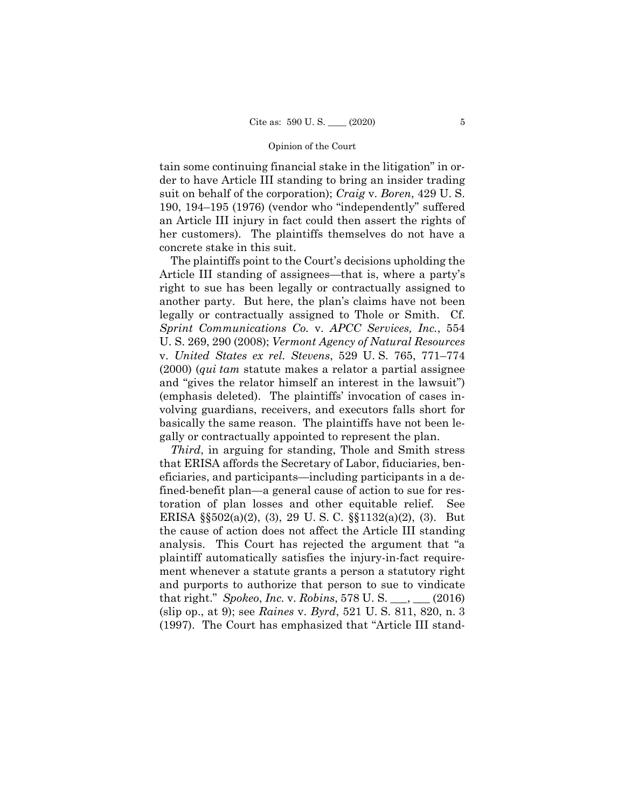tain some continuing financial stake in the litigation" in order to have Article III standing to bring an insider trading suit on behalf of the corporation); *Craig* v. *Boren*, 429 U. S. 190, 194–195 (1976) (vendor who "independently" suffered an Article III injury in fact could then assert the rights of her customers). The plaintiffs themselves do not have a concrete stake in this suit.

The plaintiffs point to the Court's decisions upholding the Article III standing of assignees—that is, where a party's right to sue has been legally or contractually assigned to another party. But here, the plan's claims have not been legally or contractually assigned to Thole or Smith. Cf. *Sprint Communications Co.* v. *APCC Services, Inc.*, 554 U. S. 269, 290 (2008); *Vermont Agency of Natural Resources*  v. *United States ex rel. Stevens*, 529 U. S. 765, 771–774 (2000) (*qui tam* statute makes a relator a partial assignee and "gives the relator himself an interest in the lawsuit") (emphasis deleted). The plaintiffs' invocation of cases involving guardians, receivers, and executors falls short for basically the same reason. The plaintiffs have not been legally or contractually appointed to represent the plan.

*Third*, in arguing for standing, Thole and Smith stress that ERISA affords the Secretary of Labor, fiduciaries, beneficiaries, and participants—including participants in a defined-benefit plan—a general cause of action to sue for restoration of plan losses and other equitable relief. See ERISA §§502(a)(2), (3), 29 U. S. C. §§1132(a)(2), (3). But the cause of action does not affect the Article III standing analysis. This Court has rejected the argument that "a plaintiff automatically satisfies the injury-in-fact requirement whenever a statute grants a person a statutory right and purports to authorize that person to sue to vindicate that right." *Spokeo*, *Inc.* v. *Robins*, 578 U. S. \_\_\_, \_\_\_ (2016) (slip op., at 9); see *Raines* v. *Byrd*, 521 U. S. 811, 820, n. 3 (1997). The Court has emphasized that "Article III stand-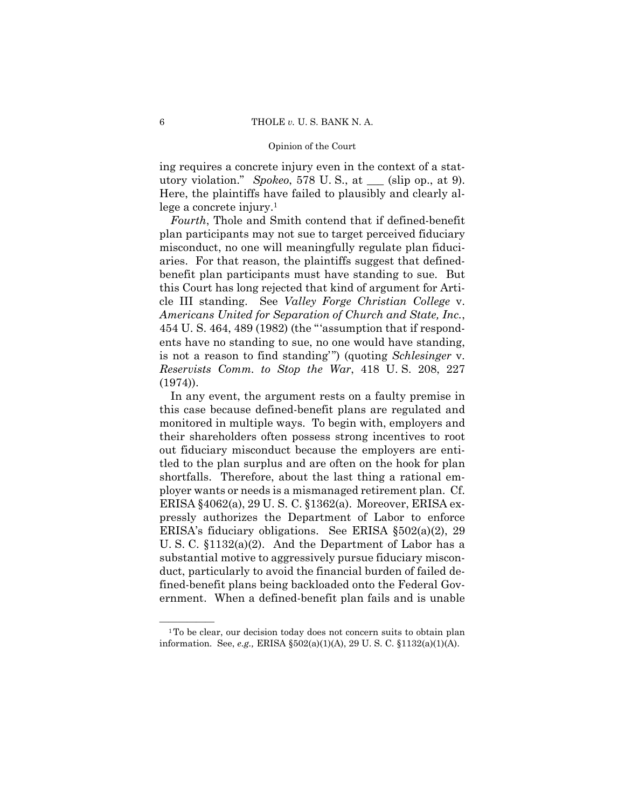ing requires a concrete injury even in the context of a statutory violation." *Spokeo*, 578 U. S., at \_\_\_ (slip op., at 9). Here, the plaintiffs have failed to plausibly and clearly allege a concrete injury.1

*Fourth*, Thole and Smith contend that if defined-benefit plan participants may not sue to target perceived fiduciary misconduct, no one will meaningfully regulate plan fiduciaries. For that reason, the plaintiffs suggest that definedbenefit plan participants must have standing to sue. But this Court has long rejected that kind of argument for Article III standing. See *Valley Forge Christian College* v. *Americans United for Separation of Church and State, Inc.*, 454 U. S. 464, 489 (1982) (the "'assumption that if respondents have no standing to sue, no one would have standing, is not a reason to find standing'") (quoting *Schlesinger* v. *Reservists Comm. to Stop the War*, 418 U. S. 208, 227 (1974)).

In any event, the argument rests on a faulty premise in this case because defined-benefit plans are regulated and monitored in multiple ways. To begin with, employers and their shareholders often possess strong incentives to root out fiduciary misconduct because the employers are entitled to the plan surplus and are often on the hook for plan shortfalls. Therefore, about the last thing a rational employer wants or needs is a mismanaged retirement plan. Cf. ERISA §4062(a), 29 U. S. C. §1362(a). Moreover, ERISA expressly authorizes the Department of Labor to enforce ERISA's fiduciary obligations. See ERISA §502(a)(2), 29 U. S. C. §1132(a)(2). And the Department of Labor has a substantial motive to aggressively pursue fiduciary misconduct, particularly to avoid the financial burden of failed defined-benefit plans being backloaded onto the Federal Government. When a defined-benefit plan fails and is unable

<sup>&</sup>lt;sup>1</sup>To be clear, our decision today does not concern suits to obtain plan information. See, *e.g.,* ERISA §502(a)(1)(A), 29 U. S. C. §1132(a)(1)(A).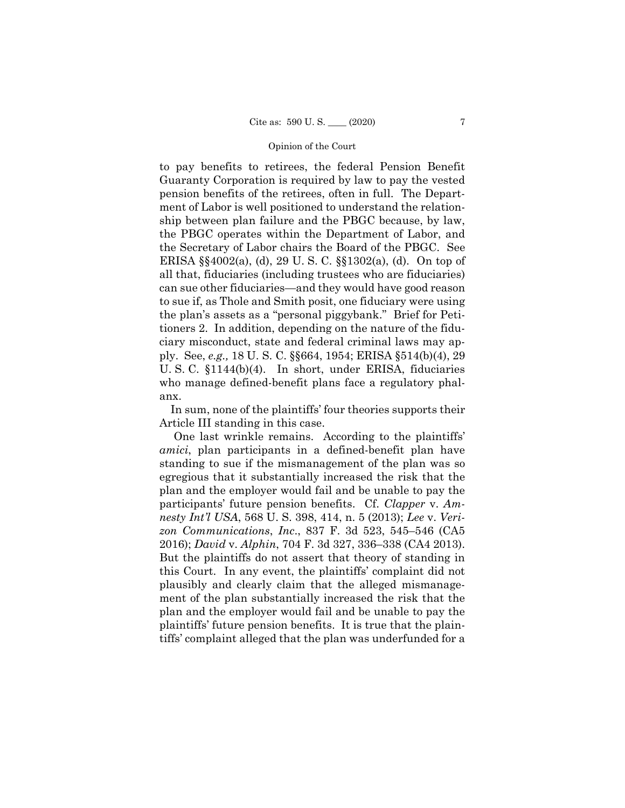to pay benefits to retirees, the federal Pension Benefit Guaranty Corporation is required by law to pay the vested pension benefits of the retirees, often in full. The Department of Labor is well positioned to understand the relationship between plan failure and the PBGC because, by law, the PBGC operates within the Department of Labor, and the Secretary of Labor chairs the Board of the PBGC. See ERISA §§4002(a), (d), 29 U. S. C. §§1302(a), (d). On top of all that, fiduciaries (including trustees who are fiduciaries) can sue other fiduciaries—and they would have good reason to sue if, as Thole and Smith posit, one fiduciary were using the plan's assets as a "personal piggybank." Brief for Petitioners 2. In addition, depending on the nature of the fiduciary misconduct, state and federal criminal laws may apply. See, *e.g.,* 18 U. S. C. §§664, 1954; ERISA §514(b)(4), 29 U. S. C. §1144(b)(4). In short, under ERISA, fiduciaries who manage defined-benefit plans face a regulatory phalanx.

In sum, none of the plaintiffs' four theories supports their Article III standing in this case.

One last wrinkle remains. According to the plaintiffs' *amici*, plan participants in a defined-benefit plan have standing to sue if the mismanagement of the plan was so egregious that it substantially increased the risk that the plan and the employer would fail and be unable to pay the participants' future pension benefits. Cf. *Clapper* v. *Amnesty Int'l USA*, 568 U. S. 398, 414, n. 5 (2013); *Lee* v. *Verizon Communications*, *Inc*., 837 F. 3d 523, 545–546 (CA5 2016); *David* v. *Alphin*, 704 F. 3d 327, 336–338 (CA4 2013). But the plaintiffs do not assert that theory of standing in this Court. In any event, the plaintiffs' complaint did not plausibly and clearly claim that the alleged mismanagement of the plan substantially increased the risk that the plan and the employer would fail and be unable to pay the plaintiffs' future pension benefits. It is true that the plaintiffs' complaint alleged that the plan was underfunded for a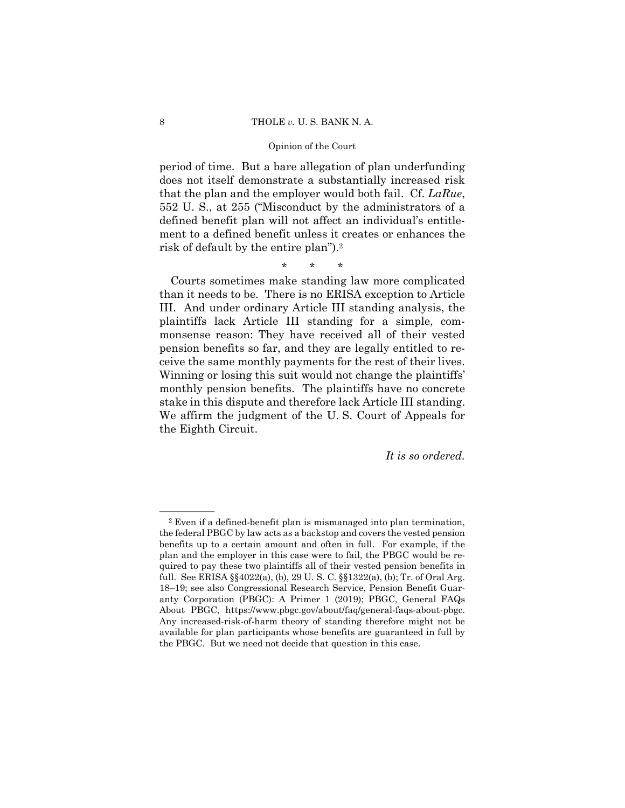risk of default by the entire plan").2 period of time. But a bare allegation of plan underfunding does not itself demonstrate a substantially increased risk that the plan and the employer would both fail. Cf. *LaRue*, 552 U. S., at 255 ("Misconduct by the administrators of a defined benefit plan will not affect an individual's entitlement to a defined benefit unless it creates or enhances the

\* \* \*

Courts sometimes make standing law more complicated than it needs to be. There is no ERISA exception to Article III. And under ordinary Article III standing analysis, the plaintiffs lack Article III standing for a simple, commonsense reason: They have received all of their vested pension benefits so far, and they are legally entitled to receive the same monthly payments for the rest of their lives. Winning or losing this suit would not change the plaintiffs' monthly pension benefits. The plaintiffs have no concrete stake in this dispute and therefore lack Article III standing. We affirm the judgment of the U. S. Court of Appeals for the Eighth Circuit.

*It is so ordered.* 

 $\overline{\hspace{1cm}}$  2 Even if a defined-benefit plan is mismanaged into plan termination, available for plan participants whose benefits are guaranteed in full by the federal PBGC by law acts as a backstop and covers the vested pension benefits up to a certain amount and often in full. For example, if the plan and the employer in this case were to fail, the PBGC would be required to pay these two plaintiffs all of their vested pension benefits in full. See ERISA §§4022(a), (b), 29 U. S. C. §§1322(a), (b); Tr. of Oral Arg. 18–19; see also Congressional Research Service, Pension Benefit Guaranty Corporation (PBGC): A Primer 1 (2019); PBGC, General FAQs About PBGC, https://www.pbgc.gov/about/faq/general-faqs-about-pbgc. Any increased-risk-of-harm theory of standing therefore might not be the PBGC. But we need not decide that question in this case.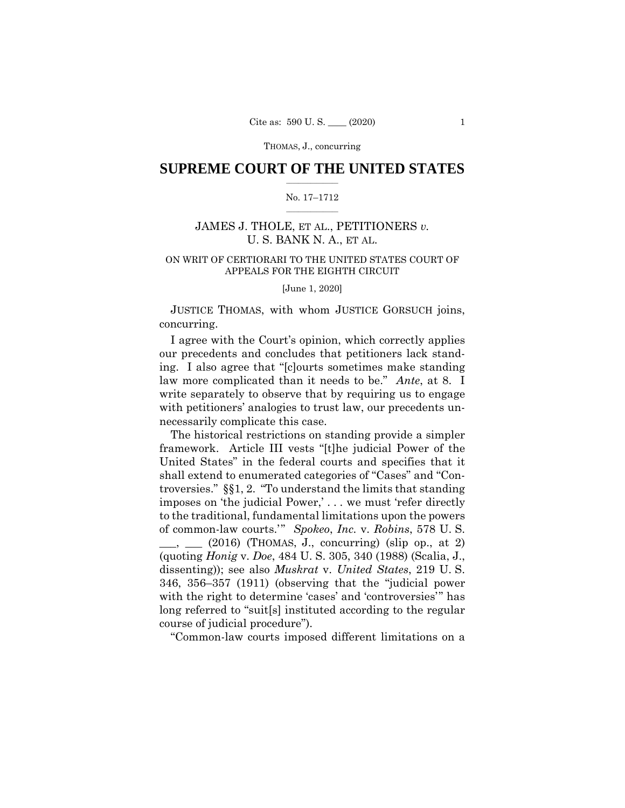THOMAS, J., concurring

# $\frac{1}{2}$  ,  $\frac{1}{2}$  ,  $\frac{1}{2}$  ,  $\frac{1}{2}$  ,  $\frac{1}{2}$  ,  $\frac{1}{2}$  ,  $\frac{1}{2}$ **SUPREME COURT OF THE UNITED STATES**

### $\frac{1}{2}$  ,  $\frac{1}{2}$  ,  $\frac{1}{2}$  ,  $\frac{1}{2}$  ,  $\frac{1}{2}$  ,  $\frac{1}{2}$ No. 17–1712

# JAMES J. THOLE, ET AL., PETITIONERS *v.*  U. S. BANK N. A., ET AL.

# ON WRIT OF CERTIORARI TO THE UNITED STATES COURT OF APPEALS FOR THE EIGHTH CIRCUIT

[June 1, 2020]

 JUSTICE THOMAS, with whom JUSTICE GORSUCH joins, concurring.

I agree with the Court's opinion, which correctly applies our precedents and concludes that petitioners lack standing. I also agree that "[c]ourts sometimes make standing law more complicated than it needs to be." *Ante*, at 8. I write separately to observe that by requiring us to engage with petitioners' analogies to trust law, our precedents unnecessarily complicate this case.

The historical restrictions on standing provide a simpler framework. Article III vests "[t]he judicial Power of the United States" in the federal courts and specifies that it shall extend to enumerated categories of "Cases" and "Controversies." §§1, 2. "To understand the limits that standing imposes on 'the judicial Power,' . . . we must 'refer directly to the traditional, fundamental limitations upon the powers of common-law courts.'" *Spokeo*, *Inc.* v. *Robins*, 578 U. S.  $\mu$ ,  $\mu$  (2016) (THOMAS, J., concurring) (slip op., at 2) (quoting *Honig* v. *Doe*, 484 U. S. 305, 340 (1988) (Scalia, J., dissenting)); see also *Muskrat* v. *United States*, 219 U. S. 346, 356–357 (1911) (observing that the "judicial power with the right to determine 'cases' and 'controversies'" has long referred to "suit[s] instituted according to the regular course of judicial procedure").

"Common-law courts imposed different limitations on a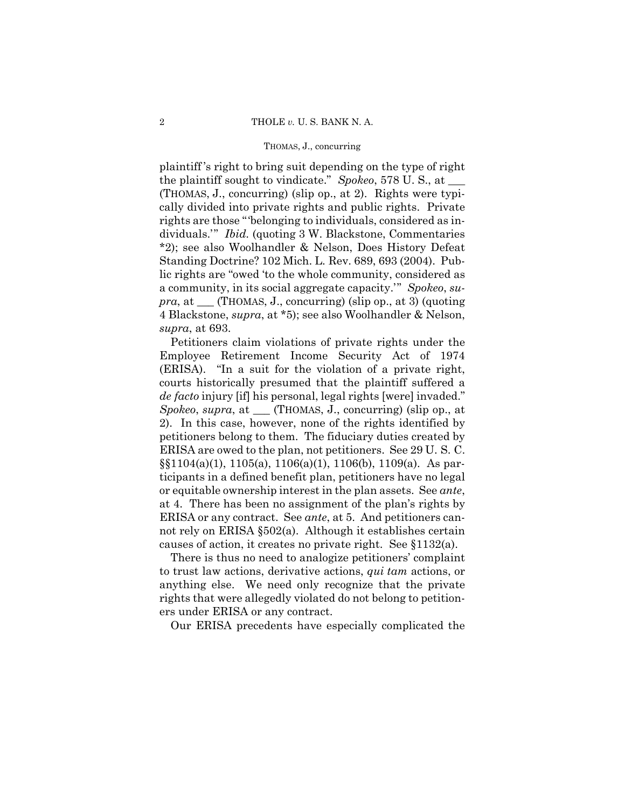### THOMAS, J., concurring

plaintiff 's right to bring suit depending on the type of right the plaintiff sought to vindicate." *Spokeo*, 578 U. S., at \_\_\_ (THOMAS, J., concurring) (slip op., at 2). Rights were typically divided into private rights and public rights. Private rights are those "'belonging to individuals, considered as individuals.'" *Ibid.* (quoting 3 W. Blackstone, Commentaries \*2); see also Woolhandler & Nelson, Does History Defeat Standing Doctrine? 102 Mich. L. Rev. 689, 693 (2004). Public rights are "owed 'to the whole community, considered as a community, in its social aggregate capacity.'" *Spokeo*, *supra*, at \_\_\_ (THOMAS, J., concurring) (slip op., at 3) (quoting 4 Blackstone, *supra*, at \*5); see also Woolhandler & Nelson, *supra*, at 693.

 (ERISA). "In a suit for the violation of a private right, Petitioners claim violations of private rights under the Employee Retirement Income Security Act of 1974 courts historically presumed that the plaintiff suffered a *de facto* injury [if] his personal, legal rights [were] invaded." *Spokeo*, *supra*, at \_\_\_ (THOMAS, J., concurring) (slip op., at 2). In this case, however, none of the rights identified by petitioners belong to them. The fiduciary duties created by ERISA are owed to the plan, not petitioners. See 29 U. S. C. §§1104(a)(1), 1105(a), 1106(a)(1), 1106(b), 1109(a). As participants in a defined benefit plan, petitioners have no legal or equitable ownership interest in the plan assets. See *ante*, at 4. There has been no assignment of the plan's rights by ERISA or any contract. See *ante*, at 5. And petitioners cannot rely on ERISA §502(a). Although it establishes certain causes of action, it creates no private right. See §1132(a).

There is thus no need to analogize petitioners' complaint to trust law actions, derivative actions, *qui tam* actions, or anything else. We need only recognize that the private rights that were allegedly violated do not belong to petitioners under ERISA or any contract.

Our ERISA precedents have especially complicated the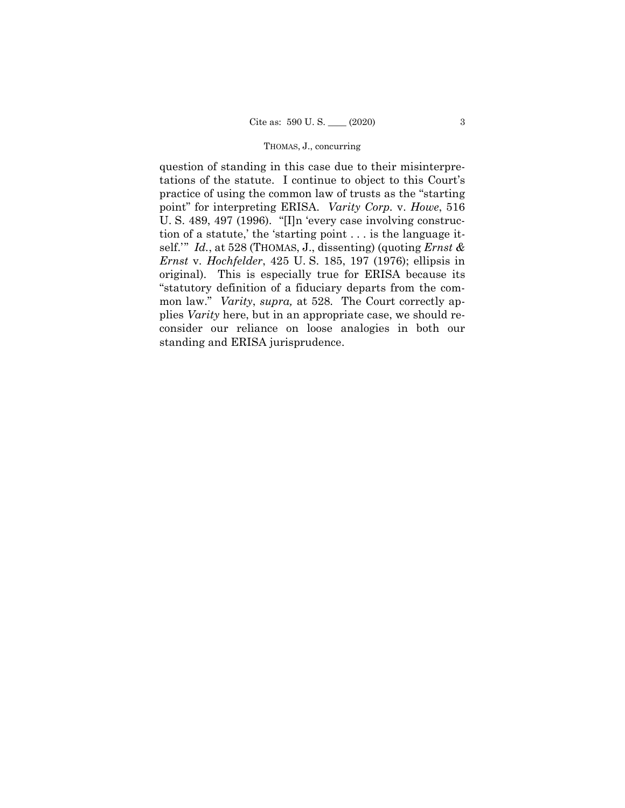## THOMAS, J., concurring

question of standing in this case due to their misinterpretations of the statute. I continue to object to this Court's practice of using the common law of trusts as the "starting point" for interpreting ERISA. *Varity Corp.* v. *Howe*, 516 U. S. 489, 497 (1996). "[I]n 'every case involving construction of a statute,' the 'starting point . . . is the language itself.'" *Id.*, at 528 (THOMAS, J., dissenting) (quoting *Ernst & Ernst* v. *Hochfelder*, 425 U. S. 185, 197 (1976); ellipsis in original). This is especially true for ERISA because its "statutory definition of a fiduciary departs from the common law." *Varity*, *supra,* at 528*.* The Court correctly applies *Varity* here, but in an appropriate case, we should reconsider our reliance on loose analogies in both our standing and ERISA jurisprudence.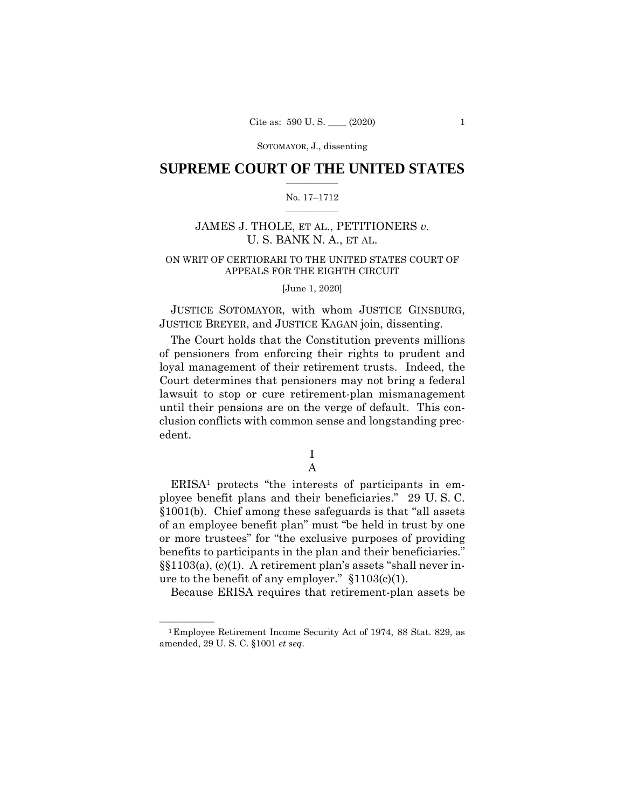# $\frac{1}{2}$  ,  $\frac{1}{2}$  ,  $\frac{1}{2}$  ,  $\frac{1}{2}$  ,  $\frac{1}{2}$  ,  $\frac{1}{2}$  ,  $\frac{1}{2}$ **SUPREME COURT OF THE UNITED STATES**

### $\frac{1}{2}$  ,  $\frac{1}{2}$  ,  $\frac{1}{2}$  ,  $\frac{1}{2}$  ,  $\frac{1}{2}$  ,  $\frac{1}{2}$ No. 17–1712

# JAMES J. THOLE, ET AL., PETITIONERS *v.*  U. S. BANK N. A., ET AL.

# ON WRIT OF CERTIORARI TO THE UNITED STATES COURT OF APPEALS FOR THE EIGHTH CIRCUIT

[June 1, 2020]

 JUSTICE SOTOMAYOR, with whom JUSTICE GINSBURG, JUSTICE BREYER, and JUSTICE KAGAN join, dissenting.

The Court holds that the Constitution prevents millions of pensioners from enforcing their rights to prudent and loyal management of their retirement trusts. Indeed, the Court determines that pensioners may not bring a federal lawsuit to stop or cure retirement-plan mismanagement until their pensions are on the verge of default. This conclusion conflicts with common sense and longstanding precedent.

# I A

ERISA1 protects "the interests of participants in employee benefit plans and their beneficiaries." 29 U. S. C. §1001(b). Chief among these safeguards is that "all assets of an employee benefit plan" must "be held in trust by one or more trustees" for "the exclusive purposes of providing benefits to participants in the plan and their beneficiaries." §§1103(a), (c)(1). A retirement plan's assets "shall never inure to the benefit of any employer." §1103(c)(1).

Because ERISA requires that retirement-plan assets be

<sup>&</sup>lt;sup>1</sup> Employee Retirement Income Security Act of 1974, 88 Stat. 829, as amended, 29 U. S. C. §1001 *et seq*.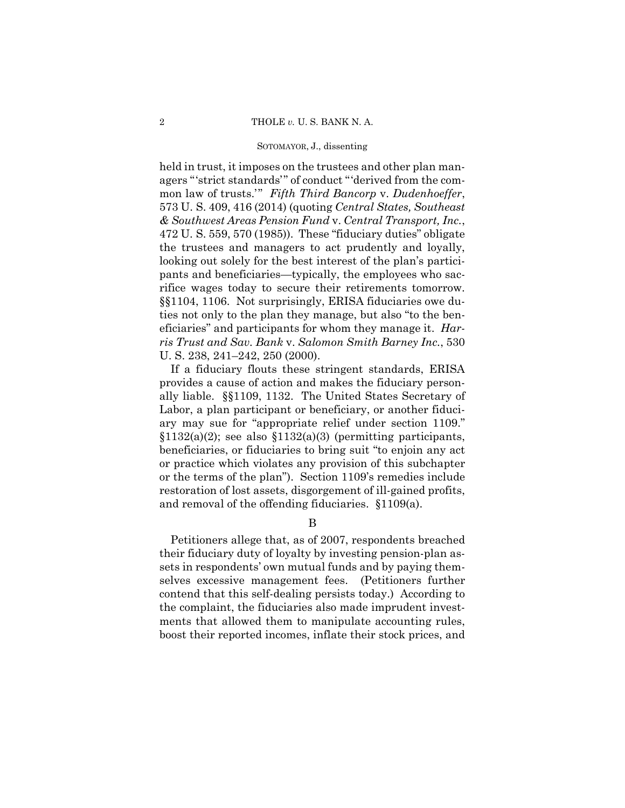held in trust, it imposes on the trustees and other plan managers "'strict standards'" of conduct "'derived from the common law of trusts.'" *Fifth Third Bancorp* v. *Dudenhoeffer*, 573 U. S. 409, 416 (2014) (quoting *Central States, Southeast & Southwest Areas Pension Fund* v. *Central Transport, Inc.*, 472 U. S. 559, 570 (1985)). These "fiduciary duties" obligate the trustees and managers to act prudently and loyally, looking out solely for the best interest of the plan's participants and beneficiaries—typically, the employees who sacrifice wages today to secure their retirements tomorrow. §§1104, 1106. Not surprisingly, ERISA fiduciaries owe duties not only to the plan they manage, but also "to the beneficiaries" and participants for whom they manage it. *Harris Trust and Sav. Bank* v. *Salomon Smith Barney Inc.*, 530 U. S. 238, 241–242, 250 (2000).

If a fiduciary flouts these stringent standards, ERISA provides a cause of action and makes the fiduciary personally liable. §§1109, 1132. The United States Secretary of Labor, a plan participant or beneficiary, or another fiduciary may sue for "appropriate relief under section 1109."  $$1132(a)(2)$; see also $1132(a)(3) (permitting participants,$ beneficiaries, or fiduciaries to bring suit "to enjoin any act or practice which violates any provision of this subchapter or the terms of the plan"). Section 1109's remedies include restoration of lost assets, disgorgement of ill-gained profits, and removal of the offending fiduciaries. §1109(a).

B

Petitioners allege that, as of 2007, respondents breached their fiduciary duty of loyalty by investing pension-plan assets in respondents' own mutual funds and by paying themselves excessive management fees. (Petitioners further contend that this self-dealing persists today.) According to the complaint, the fiduciaries also made imprudent investments that allowed them to manipulate accounting rules, boost their reported incomes, inflate their stock prices, and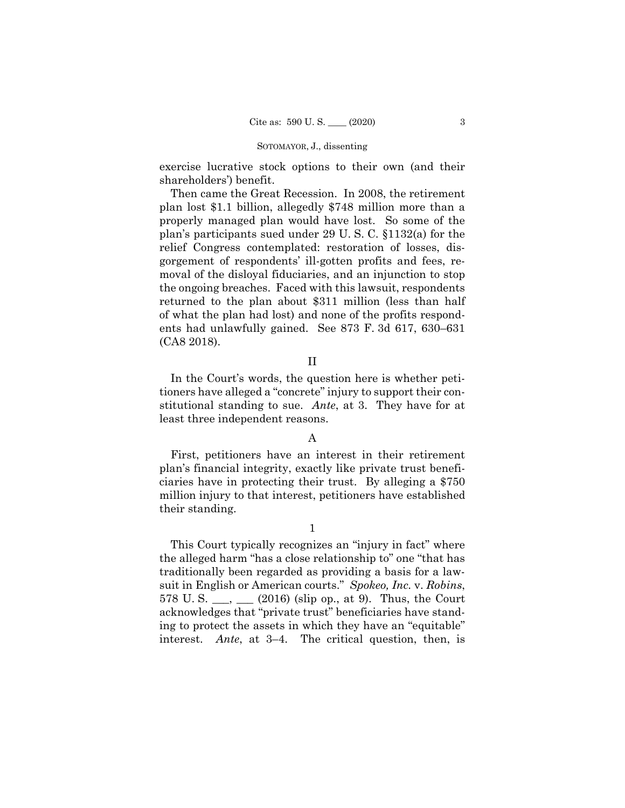exercise lucrative stock options to their own (and their shareholders') benefit.

Then came the Great Recession. In 2008, the retirement plan lost \$1.1 billion, allegedly \$748 million more than a properly managed plan would have lost. So some of the plan's participants sued under 29 U. S. C. §1132(a) for the relief Congress contemplated: restoration of losses, disgorgement of respondents' ill-gotten profits and fees, removal of the disloyal fiduciaries, and an injunction to stop the ongoing breaches. Faced with this lawsuit, respondents returned to the plan about \$311 million (less than half of what the plan had lost) and none of the profits respondents had unlawfully gained. See 873 F. 3d 617, 630–631 (CA8 2018).

# II

In the Court's words, the question here is whether petitioners have alleged a "concrete" injury to support their constitutional standing to sue. *Ante*, at 3. They have for at least three independent reasons.

# A

First, petitioners have an interest in their retirement plan's financial integrity, exactly like private trust beneficiaries have in protecting their trust. By alleging a \$750 million injury to that interest, petitioners have established their standing.

This Court typically recognizes an "injury in fact" where the alleged harm "has a close relationship to" one "that has traditionally been regarded as providing a basis for a lawsuit in English or American courts." *Spokeo, Inc.* v. *Robins*, 578 U.S.  $\frac{1}{2}$ ,  $\frac{1}{2016}$  (slip op., at 9). Thus, the Court acknowledges that "private trust" beneficiaries have standing to protect the assets in which they have an "equitable" interest. *Ante*, at 3–4. The critical question, then, is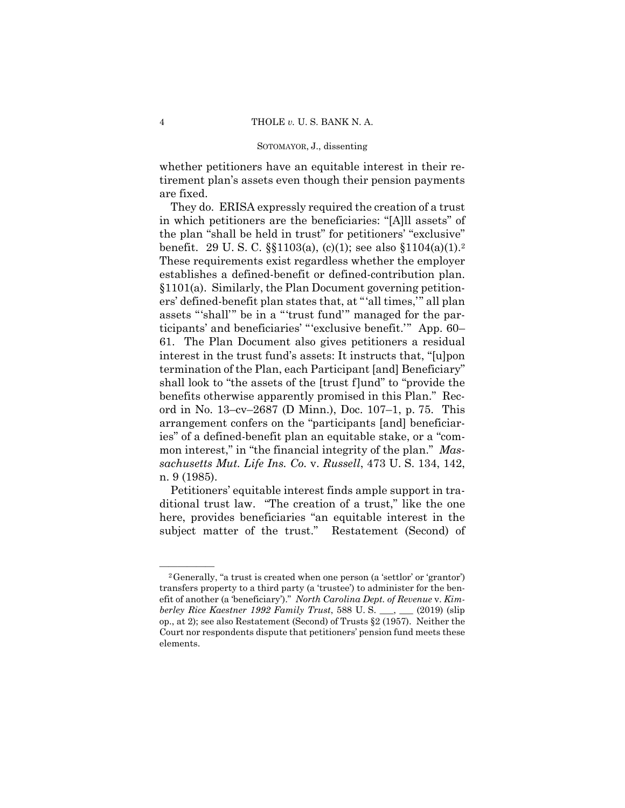whether petitioners have an equitable interest in their retirement plan's assets even though their pension payments are fixed.

 benefit. 29 U. S. C. §§1103(a), (c)(1); see also §1104(a)(1).2 establishes a defined-benefit or defined-contribution plan. They do. ERISA expressly required the creation of a trust in which petitioners are the beneficiaries: "[A]ll assets" of the plan "shall be held in trust" for petitioners' "exclusive" These requirements exist regardless whether the employer §1101(a). Similarly, the Plan Document governing petitioners' defined-benefit plan states that, at "'all times,'" all plan assets "'shall'" be in a "'trust fund'" managed for the participants' and beneficiaries' "'exclusive benefit.'" App. 60– 61. The Plan Document also gives petitioners a residual interest in the trust fund's assets: It instructs that, "[u]pon termination of the Plan, each Participant [and] Beneficiary" shall look to "the assets of the [trust f]und" to "provide the benefits otherwise apparently promised in this Plan." Record in No. 13–cv–2687 (D Minn.), Doc. 107–1, p. 75. This arrangement confers on the "participants [and] beneficiaries" of a defined-benefit plan an equitable stake, or a "common interest," in "the financial integrity of the plan." *Massachusetts Mut. Life Ins. Co.* v. *Russell*, 473 U. S. 134, 142, n. 9 (1985).

Petitioners' equitable interest finds ample support in traditional trust law. "The creation of a trust," like the one here, provides beneficiaries "an equitable interest in the subject matter of the trust." Restatement (Second) of

 ${}^{2}$ Generally, "a trust is created when one person (a 'settlor' or 'grantor') transfers property to a third party (a 'trustee') to administer for the benefit of another (a 'beneficiary')." *North Carolina Dept. of Revenue* v. *Kimberley Rice Kaestner 1992 Family Trust*, 588 U. S. \_\_\_, \_\_\_ (2019) (slip op., at 2); see also Restatement (Second) of Trusts §2 (1957). Neither the Court nor respondents dispute that petitioners' pension fund meets these elements.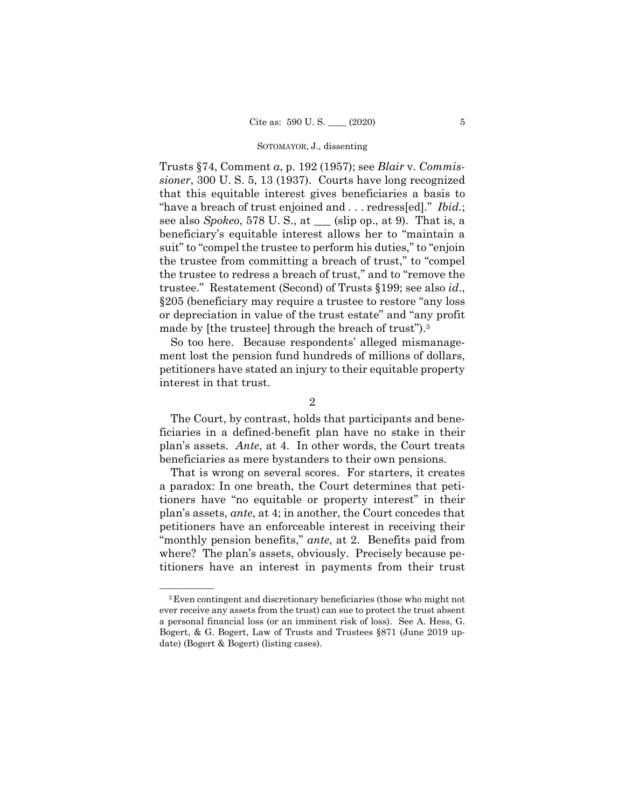Trusts §74, Comment *a*, p. 192 (1957); see *Blair* v. *Commissioner*, 300 U. S. 5, 13 (1937). Courts have long recognized that this equitable interest gives beneficiaries a basis to "have a breach of trust enjoined and . . . redress[ed]." *Ibid.*; see also *Spokeo*, 578 U. S., at \_\_\_ (slip op., at 9). That is, a beneficiary's equitable interest allows her to "maintain a suit" to "compel the trustee to perform his duties," to "enjoin the trustee from committing a breach of trust," to "compel the trustee to redress a breach of trust," and to "remove the trustee." Restatement (Second) of Trusts §199; see also *id*., §205 (beneficiary may require a trustee to restore "any loss or depreciation in value of the trust estate" and "any profit made by [the trustee] through the breach of trust").3

So too here. Because respondents' alleged mismanagement lost the pension fund hundreds of millions of dollars, petitioners have stated an injury to their equitable property interest in that trust.

The Court, by contrast, holds that participants and beneficiaries in a defined-benefit plan have no stake in their plan's assets. *Ante*, at 4. In other words, the Court treats beneficiaries as mere bystanders to their own pensions.

That is wrong on several scores. For starters, it creates a paradox: In one breath, the Court determines that petitioners have "no equitable or property interest" in their plan's assets, *ante*, at 4; in another, the Court concedes that petitioners have an enforceable interest in receiving their "monthly pension benefits," *ante*, at 2. Benefits paid from where? The plan's assets, obviously. Precisely because petitioners have an interest in payments from their trust

<sup>2</sup> 

 a personal financial loss (or an imminent risk of loss). See A. Hess, G. <sup>3</sup> Even contingent and discretionary beneficiaries (those who might not ever receive any assets from the trust) can sue to protect the trust absent Bogert, & G. Bogert, Law of Trusts and Trustees §871 (June 2019 update) (Bogert & Bogert) (listing cases).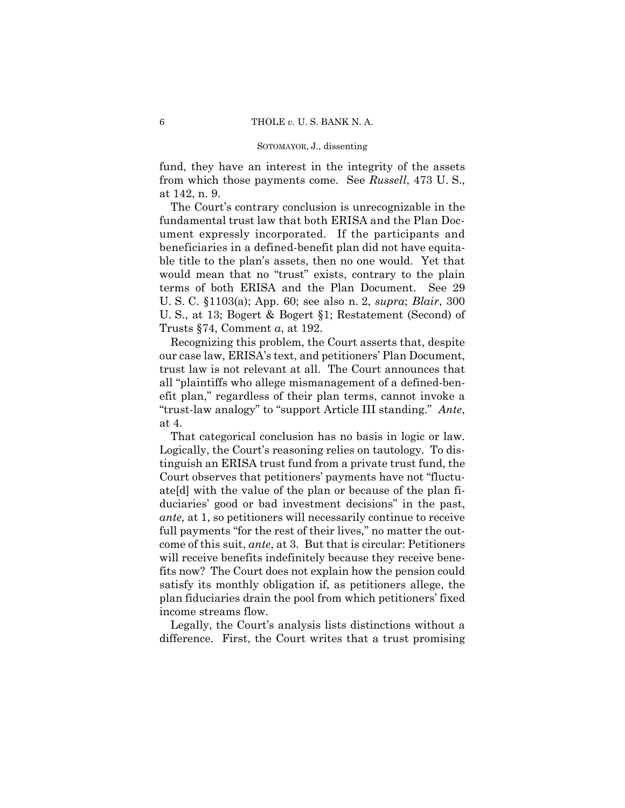fund, they have an interest in the integrity of the assets from which those payments come. See *Russell*, 473 U. S., at 142, n. 9.

 fundamental trust law that both ERISA and the Plan Doc- beneficiaries in a defined-benefit plan did not have equita-The Court's contrary conclusion is unrecognizable in the ument expressly incorporated. If the participants and ble title to the plan's assets, then no one would. Yet that would mean that no "trust" exists, contrary to the plain terms of both ERISA and the Plan Document. See 29 U. S. C. §1103(a); App. 60; see also n. 2, *supra*; *Blair*, 300 U. S., at 13; Bogert & Bogert §1; Restatement (Second) of Trusts §74, Comment *a*, at 192.

Recognizing this problem, the Court asserts that, despite our case law, ERISA's text, and petitioners' Plan Document, trust law is not relevant at all. The Court announces that all "plaintiffs who allege mismanagement of a defined-benefit plan," regardless of their plan terms, cannot invoke a "trust-law analogy" to "support Article III standing." *Ante*, at 4.

That categorical conclusion has no basis in logic or law. Logically, the Court's reasoning relies on tautology. To distinguish an ERISA trust fund from a private trust fund, the Court observes that petitioners' payments have not "fluctuate[d] with the value of the plan or because of the plan fiduciaries' good or bad investment decisions" in the past, *ante,* at 1, so petitioners will necessarily continue to receive full payments "for the rest of their lives," no matter the outcome of this suit, *ante*, at 3. But that is circular: Petitioners will receive benefits indefinitely because they receive benefits now? The Court does not explain how the pension could satisfy its monthly obligation if, as petitioners allege, the plan fiduciaries drain the pool from which petitioners' fixed income streams flow.

Legally, the Court's analysis lists distinctions without a difference. First, the Court writes that a trust promising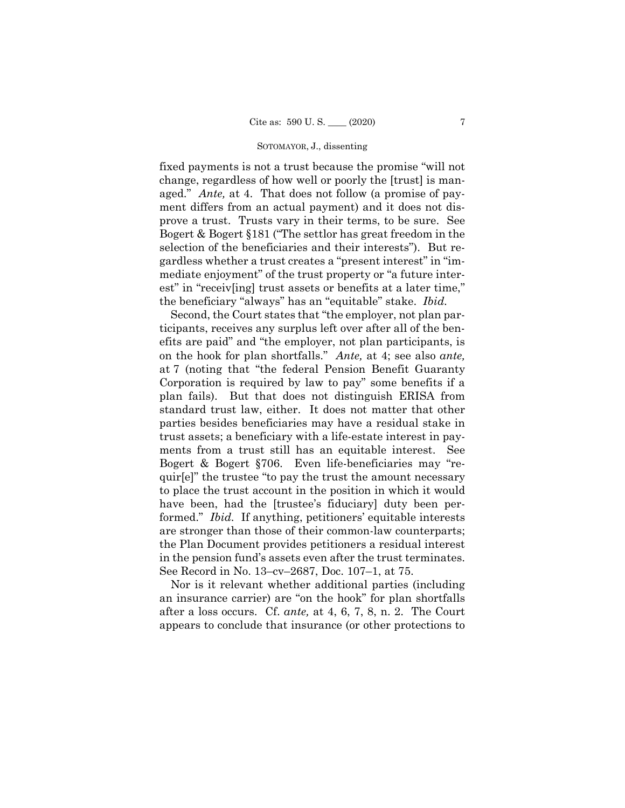fixed payments is not a trust because the promise "will not change, regardless of how well or poorly the [trust] is managed." *Ante,* at 4. That does not follow (a promise of payment differs from an actual payment) and it does not disprove a trust. Trusts vary in their terms, to be sure. See Bogert & Bogert §181 ("The settlor has great freedom in the selection of the beneficiaries and their interests"). But regardless whether a trust creates a "present interest" in "immediate enjoyment" of the trust property or "a future interest" in "receiv[ing] trust assets or benefits at a later time," the beneficiary "always" has an "equitable" stake. *Ibid.* 

Second, the Court states that "the employer, not plan participants, receives any surplus left over after all of the benefits are paid" and "the employer, not plan participants, is on the hook for plan shortfalls." *Ante,* at 4; see also *ante,*  at 7 (noting that "the federal Pension Benefit Guaranty Corporation is required by law to pay" some benefits if a plan fails). But that does not distinguish ERISA from standard trust law, either. It does not matter that other parties besides beneficiaries may have a residual stake in trust assets; a beneficiary with a life-estate interest in payments from a trust still has an equitable interest. See Bogert & Bogert §706. Even life-beneficiaries may "requir[e]" the trustee "to pay the trust the amount necessary to place the trust account in the position in which it would have been, had the [trustee's fiduciary] duty been performed." *Ibid.* If anything, petitioners' equitable interests are stronger than those of their common-law counterparts; the Plan Document provides petitioners a residual interest in the pension fund's assets even after the trust terminates. See Record in No. 13–cv–2687, Doc. 107–1, at 75.

Nor is it relevant whether additional parties (including an insurance carrier) are "on the hook" for plan shortfalls after a loss occurs. Cf. *ante,* at 4, 6, 7, 8, n. 2. The Court appears to conclude that insurance (or other protections to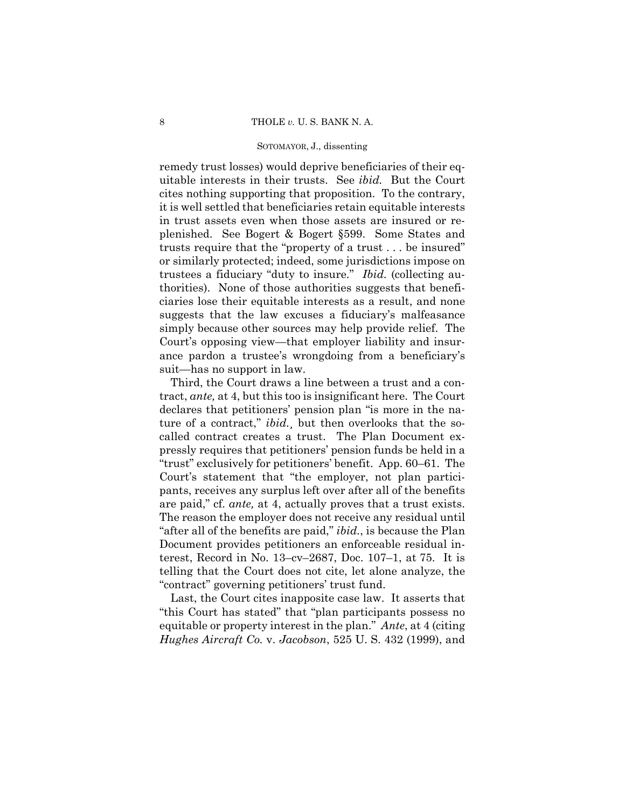remedy trust losses) would deprive beneficiaries of their equitable interests in their trusts. See *ibid.* But the Court cites nothing supporting that proposition. To the contrary, it is well settled that beneficiaries retain equitable interests in trust assets even when those assets are insured or replenished. See Bogert & Bogert §599. Some States and trusts require that the "property of a trust . . . be insured" or similarly protected; indeed, some jurisdictions impose on trustees a fiduciary "duty to insure." *Ibid.* (collecting authorities). None of those authorities suggests that beneficiaries lose their equitable interests as a result, and none suggests that the law excuses a fiduciary's malfeasance simply because other sources may help provide relief. The Court's opposing view—that employer liability and insurance pardon a trustee's wrongdoing from a beneficiary's suit—has no support in law.

 are paid," cf. *ante,* at 4, actually proves that a trust exists. Third, the Court draws a line between a trust and a contract, *ante,* at 4, but this too is insignificant here. The Court declares that petitioners' pension plan "is more in the nature of a contract," *ibid.*¸ but then overlooks that the socalled contract creates a trust. The Plan Document expressly requires that petitioners' pension funds be held in a "trust" exclusively for petitioners' benefit. App. 60–61. The Court's statement that "the employer, not plan participants, receives any surplus left over after all of the benefits The reason the employer does not receive any residual until "after all of the benefits are paid," *ibid.*, is because the Plan Document provides petitioners an enforceable residual interest, Record in No. 13–cv–2687, Doc. 107–1, at 75. It is telling that the Court does not cite, let alone analyze, the "contract" governing petitioners' trust fund.

Last, the Court cites inapposite case law. It asserts that "this Court has stated" that "plan participants possess no equitable or property interest in the plan." *Ante*, at 4 (citing *Hughes Aircraft Co.* v. *Jacobson*, 525 U. S. 432 (1999), and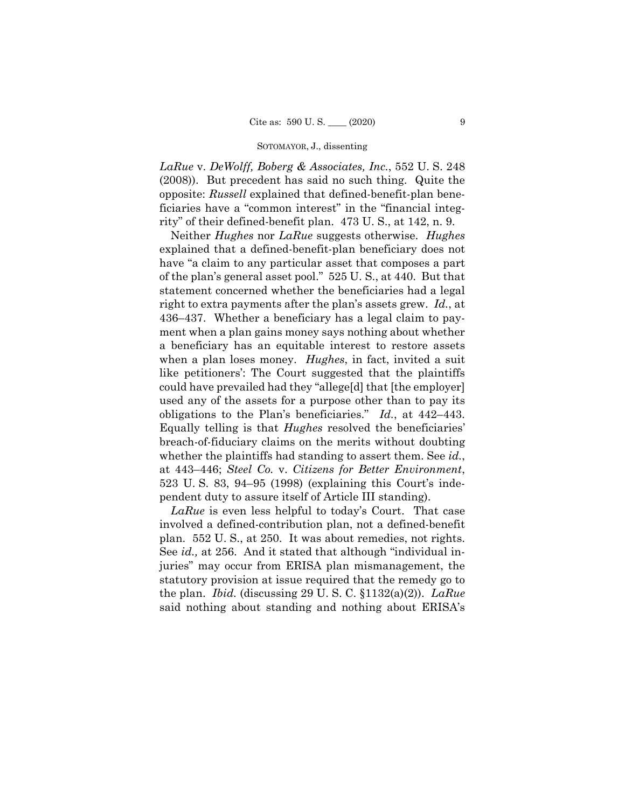*LaRue* v. *DeWolff, Boberg & Associates, Inc.*, 552 U. S. 248 (2008)). But precedent has said no such thing. Quite the opposite: *Russell* explained that defined-benefit-plan beneficiaries have a "common interest" in the "financial integrity" of their defined-benefit plan. 473 U. S., at 142, n. 9.

Neither *Hughes* nor *LaRue* suggests otherwise. *Hughes*  explained that a defined-benefit-plan beneficiary does not have "a claim to any particular asset that composes a part of the plan's general asset pool." 525 U. S., at 440. But that statement concerned whether the beneficiaries had a legal right to extra payments after the plan's assets grew. *Id.*, at 436–437. Whether a beneficiary has a legal claim to payment when a plan gains money says nothing about whether a beneficiary has an equitable interest to restore assets when a plan loses money. *Hughes*, in fact, invited a suit like petitioners': The Court suggested that the plaintiffs could have prevailed had they "allege[d] that [the employer] used any of the assets for a purpose other than to pay its obligations to the Plan's beneficiaries." *Id.*, at 442–443. Equally telling is that *Hughes* resolved the beneficiaries' breach-of-fiduciary claims on the merits without doubting whether the plaintiffs had standing to assert them. See *id.*, at 443–446; *Steel Co.* v. *Citizens for Better Environment*, 523 U. S. 83, 94–95 (1998) (explaining this Court's independent duty to assure itself of Article III standing).

*LaRue* is even less helpful to today's Court. That case involved a defined-contribution plan, not a defined-benefit plan. 552 U. S., at 250. It was about remedies, not rights. See *id.,* at 256. And it stated that although "individual injuries" may occur from ERISA plan mismanagement, the statutory provision at issue required that the remedy go to the plan. *Ibid.* (discussing 29 U. S. C. §1132(a)(2)). *LaRue*  said nothing about standing and nothing about ERISA's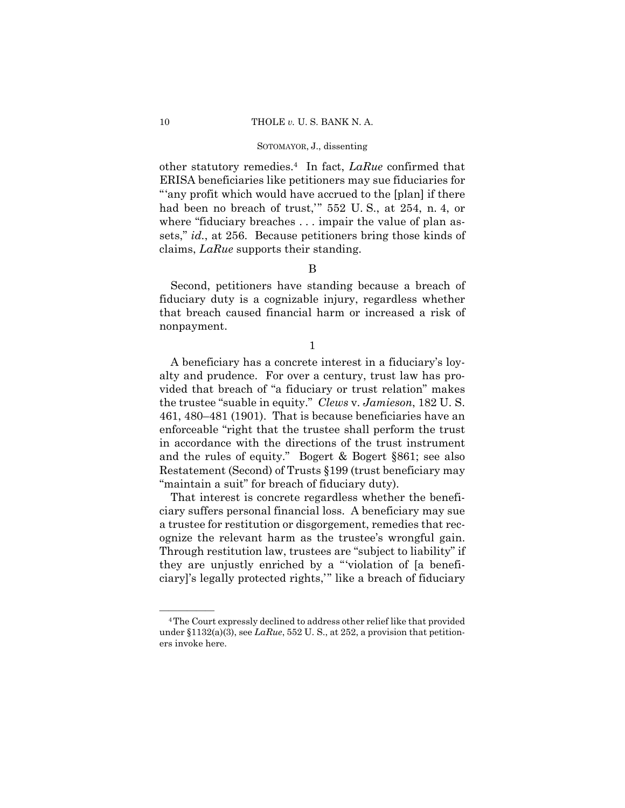other statutory remedies.4 In fact, *LaRue* confirmed that ERISA beneficiaries like petitioners may sue fiduciaries for "'any profit which would have accrued to the [plan] if there had been no breach of trust,'" 552 U. S., at 254, n. 4, or where "fiduciary breaches . . . impair the value of plan assets," *id.*, at 256. Because petitioners bring those kinds of claims, *LaRue* supports their standing.

## B

Second, petitioners have standing because a breach of fiduciary duty is a cognizable injury, regardless whether that breach caused financial harm or increased a risk of nonpayment.

1

A beneficiary has a concrete interest in a fiduciary's loyalty and prudence. For over a century, trust law has provided that breach of "a fiduciary or trust relation" makes the trustee "suable in equity." *Clews* v. *Jamieson*, 182 U. S. 461, 480–481 (1901). That is because beneficiaries have an enforceable "right that the trustee shall perform the trust in accordance with the directions of the trust instrument and the rules of equity." Bogert & Bogert §861; see also Restatement (Second) of Trusts §199 (trust beneficiary may "maintain a suit" for breach of fiduciary duty).

That interest is concrete regardless whether the beneficiary suffers personal financial loss. A beneficiary may sue a trustee for restitution or disgorgement, remedies that recognize the relevant harm as the trustee's wrongful gain. Through restitution law, trustees are "subject to liability" if they are unjustly enriched by a "'violation of [a beneficiary]'s legally protected rights,'" like a breach of fiduciary

<sup>&</sup>lt;sup>4</sup>The Court expressly declined to address other relief like that provided under §1132(a)(3), see *LaRue*, 552 U. S., at 252, a provision that petitioners invoke here.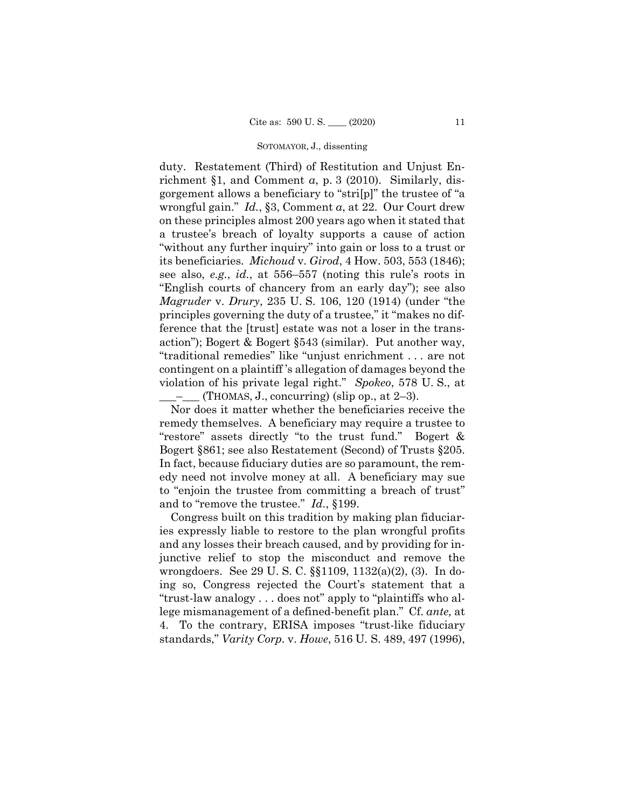$\_\_\_\_\_\$ (THOMAS, J., concurring) (slip op., at 2–3). duty. Restatement (Third) of Restitution and Unjust Enrichment §1, and Comment *a*, p. 3 (2010). Similarly, disgorgement allows a beneficiary to "stri[p]" the trustee of "a wrongful gain." *Id.*, §3, Comment *a*, at 22. Our Court drew on these principles almost 200 years ago when it stated that a trustee's breach of loyalty supports a cause of action "without any further inquiry" into gain or loss to a trust or its beneficiaries. *Michoud* v. *Girod*, 4 How. 503, 553 (1846); see also, *e.g.*, *id.*, at 556–557 (noting this rule's roots in "English courts of chancery from an early day"); see also *Magruder* v. *Drury*, 235 U. S. 106, 120 (1914) (under "the principles governing the duty of a trustee," it "makes no difference that the [trust] estate was not a loser in the transaction"); Bogert & Bogert §543 (similar). Put another way, "traditional remedies" like "unjust enrichment . . . are not contingent on a plaintiff 's allegation of damages beyond the violation of his private legal right." *Spokeo*, 578 U. S., at

Nor does it matter whether the beneficiaries receive the remedy themselves. A beneficiary may require a trustee to "restore" assets directly "to the trust fund." Bogert & Bogert §861; see also Restatement (Second) of Trusts §205. In fact, because fiduciary duties are so paramount, the remedy need not involve money at all. A beneficiary may sue to "enjoin the trustee from committing a breach of trust" and to "remove the trustee." *Id*., §199.

Congress built on this tradition by making plan fiduciaries expressly liable to restore to the plan wrongful profits and any losses their breach caused, and by providing for injunctive relief to stop the misconduct and remove the wrongdoers. See 29 U. S. C. §§1109, 1132(a)(2), (3). In doing so, Congress rejected the Court's statement that a "trust-law analogy . . . does not" apply to "plaintiffs who allege mismanagement of a defined-benefit plan." Cf. *ante,* at 4. To the contrary, ERISA imposes "trust-like fiduciary standards," *Varity Corp.* v. *Howe*, 516 U. S. 489, 497 (1996),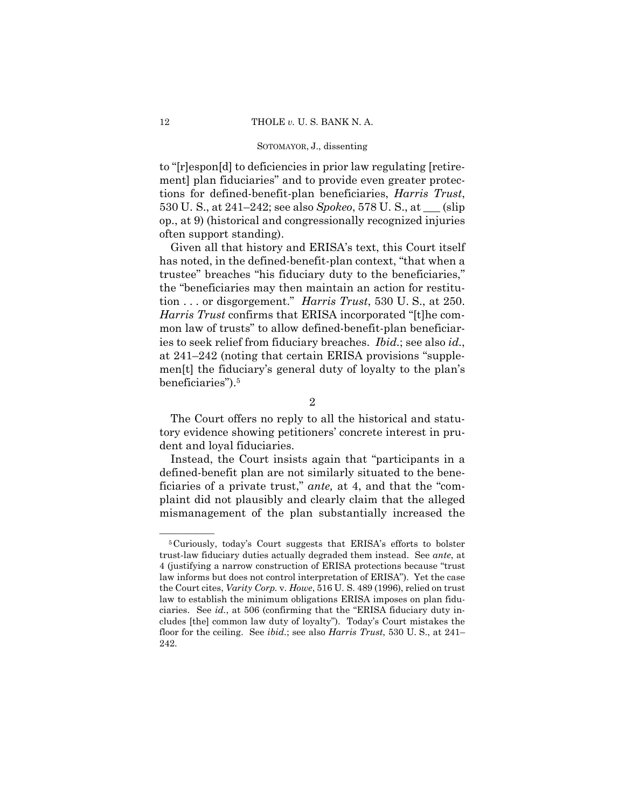to "[r]espon[d] to deficiencies in prior law regulating [retirement] plan fiduciaries" and to provide even greater protections for defined-benefit-plan beneficiaries, *Harris Trust*, 530 U. S., at 241–242; see also *Spokeo*, 578 U. S., at \_\_\_ (slip op., at 9) (historical and congressionally recognized injuries often support standing).

Given all that history and ERISA's text, this Court itself has noted, in the defined-benefit-plan context, "that when a trustee" breaches "his fiduciary duty to the beneficiaries," the "beneficiaries may then maintain an action for restitution . . . or disgorgement." *Harris Trust*, 530 U. S., at 250. *Harris Trust* confirms that ERISA incorporated "[t]he common law of trusts" to allow defined-benefit-plan beneficiaries to seek relief from fiduciary breaches. *Ibid.*; see also *id.*, at 241–242 (noting that certain ERISA provisions "supplemen[t] the fiduciary's general duty of loyalty to the plan's beneficiaries").5

The Court offers no reply to all the historical and statutory evidence showing petitioners' concrete interest in prudent and loyal fiduciaries.

Instead, the Court insists again that "participants in a defined-benefit plan are not similarly situated to the beneficiaries of a private trust," *ante,* at 4, and that the "complaint did not plausibly and clearly claim that the alleged mismanagement of the plan substantially increased the

<sup>2</sup> 

<sup>&</sup>lt;sup>5</sup>Curiously, today's Court suggests that ERISA's efforts to bolster trust-law fiduciary duties actually degraded them instead. See *ante*, at 4 (justifying a narrow construction of ERISA protections because "trust law informs but does not control interpretation of ERISA"). Yet the case the Court cites, *Varity Corp.* v. *Howe*, 516 U. S. 489 (1996), relied on trust law to establish the minimum obligations ERISA imposes on plan fiduciaries. See *id.*, at 506 (confirming that the "ERISA fiduciary duty includes [the] common law duty of loyalty"). Today's Court mistakes the floor for the ceiling. See *ibid.*; see also *Harris Trust*, 530 U. S., at 241– 242.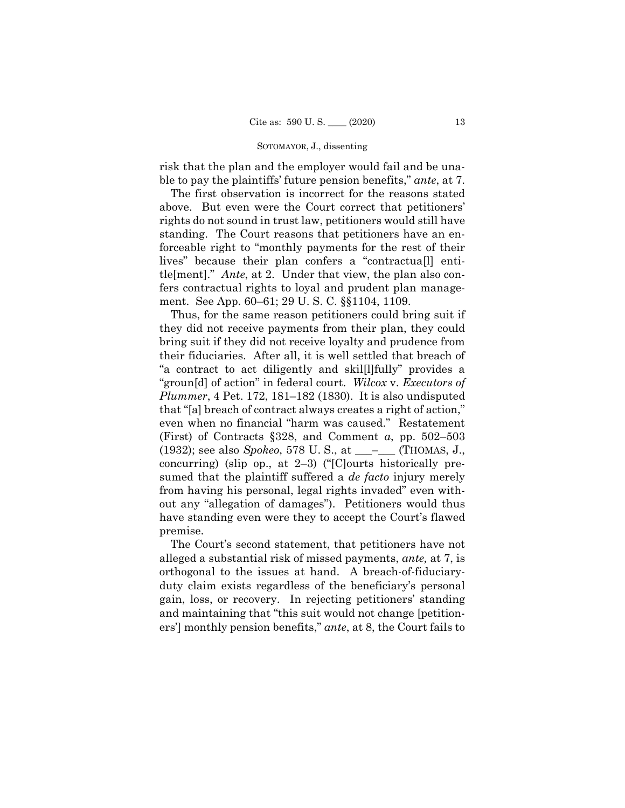risk that the plan and the employer would fail and be unable to pay the plaintiffs' future pension benefits," *ante*, at 7.

The first observation is incorrect for the reasons stated above. But even were the Court correct that petitioners' rights do not sound in trust law, petitioners would still have standing. The Court reasons that petitioners have an enforceable right to "monthly payments for the rest of their lives" because their plan confers a "contractua[l] entitle[ment]." *Ante*, at 2. Under that view, the plan also confers contractual rights to loyal and prudent plan management. See App. 60–61; 29 U. S. C. §§1104, 1109.

 "groun[d] of action" in federal court. *Wilcox* v. *Executors of*  Thus, for the same reason petitioners could bring suit if they did not receive payments from their plan, they could bring suit if they did not receive loyalty and prudence from their fiduciaries. After all, it is well settled that breach of "a contract to act diligently and skil[l]fully" provides a *Plummer*, 4 Pet. 172, 181–182 (1830). It is also undisputed that "[a] breach of contract always creates a right of action," even when no financial "harm was caused." Restatement (First) of Contracts §328, and Comment *a*, pp. 502–503 (1932); see also *Spokeo*, 578 U. S., at \_\_\_–\_\_\_ (THOMAS, J., concurring) (slip op., at 2–3) ("[C]ourts historically presumed that the plaintiff suffered a *de facto* injury merely from having his personal, legal rights invaded" even without any "allegation of damages"). Petitioners would thus have standing even were they to accept the Court's flawed premise.

 alleged a substantial risk of missed payments, *ante,* at 7, is The Court's second statement, that petitioners have not orthogonal to the issues at hand. A breach-of-fiduciaryduty claim exists regardless of the beneficiary's personal gain, loss, or recovery. In rejecting petitioners' standing and maintaining that "this suit would not change [petitioners'] monthly pension benefits," *ante*, at 8, the Court fails to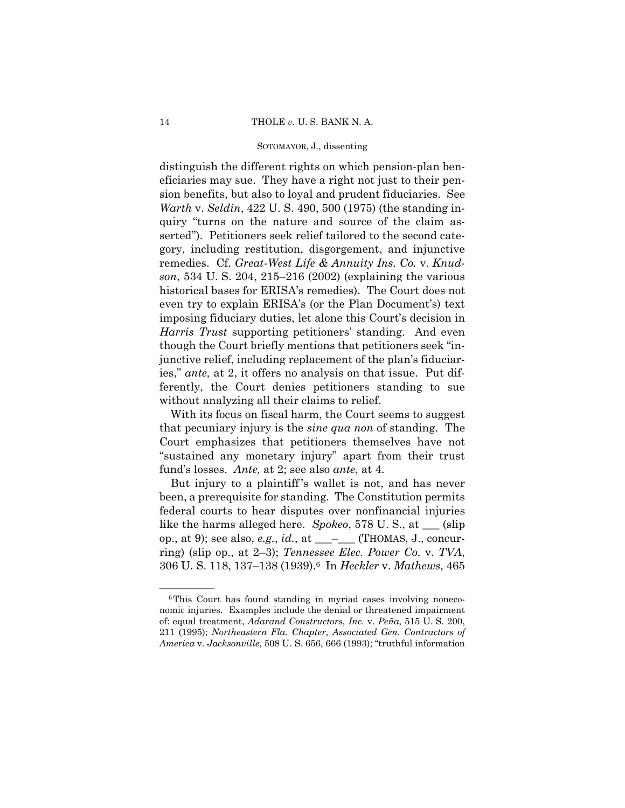distinguish the different rights on which pension-plan beneficiaries may sue. They have a right not just to their pension benefits, but also to loyal and prudent fiduciaries. See *Warth* v. *Seldin*, 422 U. S. 490, 500 (1975) (the standing inquiry "turns on the nature and source of the claim asserted"). Petitioners seek relief tailored to the second category, including restitution, disgorgement, and injunctive remedies. Cf. *Great-West Life & Annuity Ins. Co.* v. *Knudson*, 534 U. S. 204, 215–216 (2002) (explaining the various historical bases for ERISA's remedies). The Court does not even try to explain ERISA's (or the Plan Document's) text imposing fiduciary duties, let alone this Court's decision in *Harris Trust* supporting petitioners' standing. And even though the Court briefly mentions that petitioners seek "injunctive relief, including replacement of the plan's fiduciaries," *ante,* at 2, it offers no analysis on that issue. Put differently, the Court denies petitioners standing to sue without analyzing all their claims to relief.

With its focus on fiscal harm, the Court seems to suggest that pecuniary injury is the *sine qua non* of standing. The Court emphasizes that petitioners themselves have not "sustained any monetary injury" apart from their trust fund's losses. *Ante,* at 2; see also *ante*, at 4.

But injury to a plaintiff 's wallet is not, and has never been, a prerequisite for standing. The Constitution permits federal courts to hear disputes over nonfinancial injuries like the harms alleged here. *Spokeo*, 578 U. S., at \_\_\_ (slip op., at 9); see also, *e.g.*, *id.*, at \_\_\_–\_\_\_ (THOMAS, J., concurring) (slip op., at 2–3); *Tennessee Elec. Power Co.* v. *TVA*, 306 U. S. 118, 137–138 (1939).6 In *Heckler* v. *Mathews*, 465

 ${}^6$ This Court has found standing in myriad cases involving noneconomic injuries. Examples include the denial or threatened impairment of: equal treatment, *Adarand Constructors*, *Inc.* v. *Peña*, 515 U. S. 200, 211 (1995); *Northeastern Fla. Chapter*, *Associated Gen. Contractors of America* v. *Jacksonville*, 508 U. S. 656, 666 (1993); "truthful information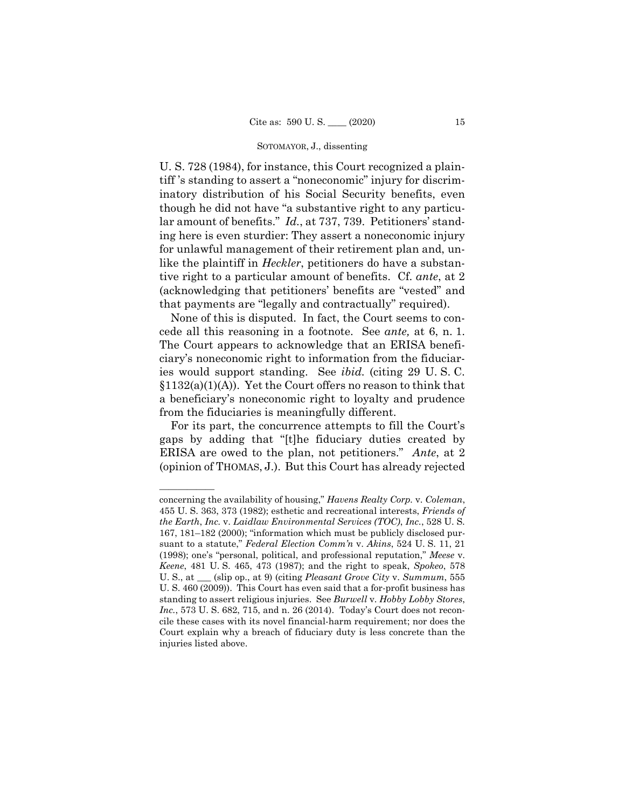U. S. 728 (1984), for instance, this Court recognized a plaintiff 's standing to assert a "noneconomic" injury for discriminatory distribution of his Social Security benefits, even though he did not have "a substantive right to any particular amount of benefits." *Id.*, at 737, 739. Petitioners' standing here is even sturdier: They assert a noneconomic injury for unlawful management of their retirement plan and, unlike the plaintiff in *Heckler*, petitioners do have a substantive right to a particular amount of benefits. Cf. *ante*, at 2 (acknowledging that petitioners' benefits are "vested" and that payments are "legally and contractually" required).

cede all this reasoning in a footnote. See *ante*, at 6, n. 1. None of this is disputed. In fact, the Court seems to con-The Court appears to acknowledge that an ERISA beneficiary's noneconomic right to information from the fiduciaries would support standing. See *ibid.* (citing 29 U. S. C.  $$1132(a)(1)(A)$ . Yet the Court offers no reason to think that a beneficiary's noneconomic right to loyalty and prudence from the fiduciaries is meaningfully different.

 (opinion of THOMAS, J.). But this Court has already rejected For its part, the concurrence attempts to fill the Court's gaps by adding that "[t]he fiduciary duties created by ERISA are owed to the plan, not petitioners." *Ante*, at 2

——————

concerning the availability of housing," *Havens Realty Corp.* v. *Coleman*, 455 U. S. 363, 373 (1982); esthetic and recreational interests, *Friends of the Earth*, *Inc.* v. *Laidlaw Environmental Services (TOC)*, *Inc.*, 528 U. S. 167, 181–182 (2000); "information which must be publicly disclosed pursuant to a statute," *Federal Election Comm'n* v. *Akins*, 524 U. S. 11, 21 (1998); one's "personal, political, and professional reputation," *Meese* v. *Keene*, 481 U. S. 465, 473 (1987); and the right to speak, *Spokeo*, 578 U. S., at \_\_\_ (slip op., at 9) (citing *Pleasant Grove City* v. *Summum*, 555 U. S. 460 (2009)). This Court has even said that a for-profit business has standing to assert religious injuries. See *Burwell* v. *Hobby Lobby Stores*, *Inc.*, 573 U. S. 682, 715, and n. 26 (2014). Today's Court does not reconcile these cases with its novel financial-harm requirement; nor does the Court explain why a breach of fiduciary duty is less concrete than the injuries listed above.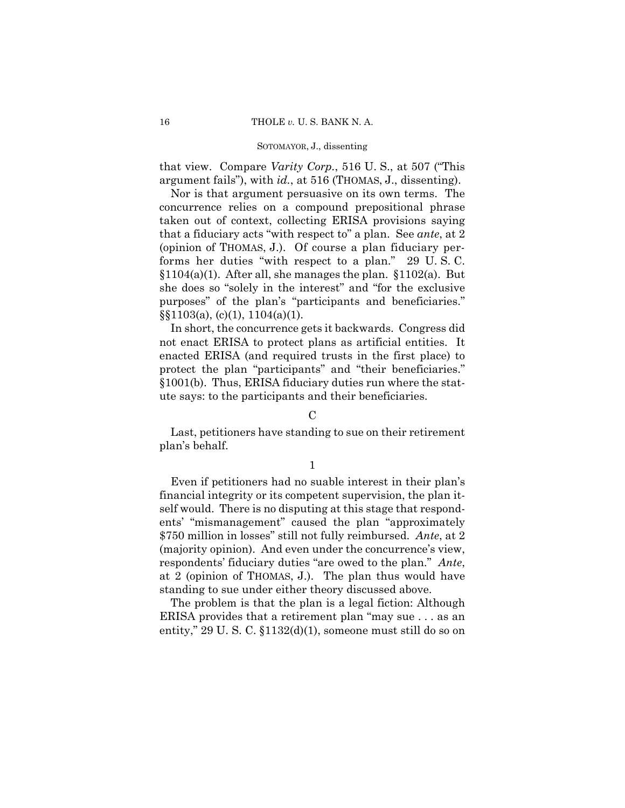that view. Compare *Varity Corp.*, 516 U. S., at 507 ("This argument fails"), with *id.*, at 516 (THOMAS, J., dissenting).

 (opinion of THOMAS, J.). Of course a plan fiduciary per- forms her duties "with respect to a plan." 29 U. S. C. Nor is that argument persuasive on its own terms. The concurrence relies on a compound prepositional phrase taken out of context, collecting ERISA provisions saying that a fiduciary acts "with respect to" a plan. See *ante*, at 2  $$1104(a)(1)$ . After all, she manages the plan.  $$1102(a)$ . But she does so "solely in the interest" and "for the exclusive purposes" of the plan's "participants and beneficiaries."  $\S$ [1103(a), (c)(1), 1104(a)(1).

In short, the concurrence gets it backwards. Congress did not enact ERISA to protect plans as artificial entities. It enacted ERISA (and required trusts in the first place) to protect the plan "participants" and "their beneficiaries." §1001(b). Thus, ERISA fiduciary duties run where the statute says: to the participants and their beneficiaries.

# $\mathcal{C}$

Last, petitioners have standing to sue on their retirement plan's behalf.

1

Even if petitioners had no suable interest in their plan's financial integrity or its competent supervision, the plan itself would. There is no disputing at this stage that respondents' "mismanagement" caused the plan "approximately \$750 million in losses" still not fully reimbursed. *Ante*, at 2 (majority opinion). And even under the concurrence's view, respondents' fiduciary duties "are owed to the plan." *Ante*, at 2 (opinion of THOMAS, J.). The plan thus would have standing to sue under either theory discussed above.

The problem is that the plan is a legal fiction: Although ERISA provides that a retirement plan "may sue . . . as an entity," 29 U.S.C.  $\S 1132(d)(1)$ , someone must still do so on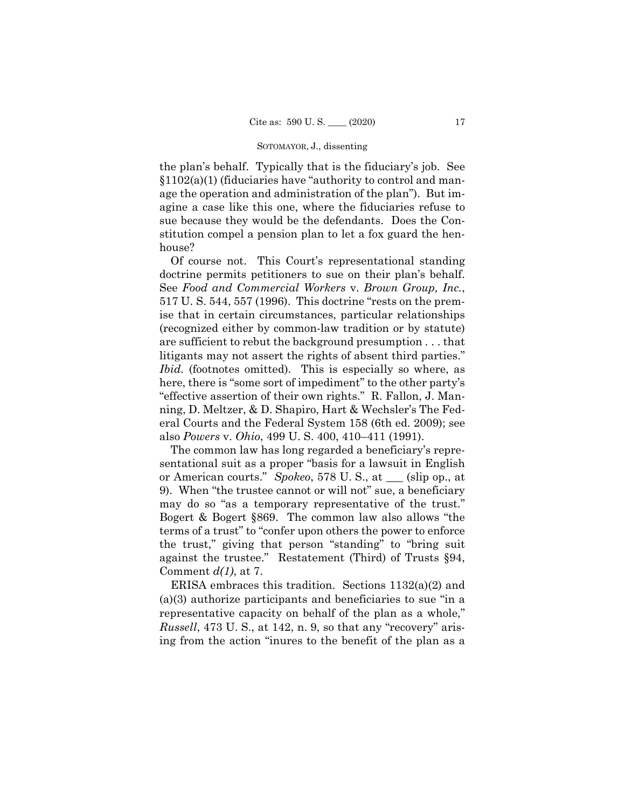the plan's behalf. Typically that is the fiduciary's job. See  $$1102(a)(1)$  (fiduciaries have "authority to control and manage the operation and administration of the plan"). But imagine a case like this one, where the fiduciaries refuse to sue because they would be the defendants. Does the Constitution compel a pension plan to let a fox guard the henhouse?

Of course not. This Court's representational standing doctrine permits petitioners to sue on their plan's behalf. See *Food and Commercial Workers* v. *Brown Group, Inc.*, 517 U. S. 544, 557 (1996). This doctrine "rests on the premise that in certain circumstances, particular relationships (recognized either by common-law tradition or by statute) are sufficient to rebut the background presumption . . . that litigants may not assert the rights of absent third parties." *Ibid.* (footnotes omitted). This is especially so where, as here, there is "some sort of impediment" to the other party's "effective assertion of their own rights." R. Fallon, J. Manning, D. Meltzer, & D. Shapiro, Hart & Wechsler's The Federal Courts and the Federal System 158 (6th ed. 2009); see also *Powers* v. *Ohio*, 499 U. S. 400, 410–411 (1991).

The common law has long regarded a beneficiary's representational suit as a proper "basis for a lawsuit in English or American courts." *Spokeo*, 578 U. S., at \_\_\_ (slip op., at 9). When "the trustee cannot or will not" sue, a beneficiary may do so "as a temporary representative of the trust." Bogert & Bogert §869. The common law also allows "the terms of a trust" to "confer upon others the power to enforce the trust," giving that person "standing" to "bring suit against the trustee." Restatement (Third) of Trusts §94, Comment *d(1)*, at 7.

ERISA embraces this tradition. Sections 1132(a)(2) and (a)(3) authorize participants and beneficiaries to sue "in a representative capacity on behalf of the plan as a whole," *Russell*, 473 U. S., at 142, n. 9, so that any "recovery" arising from the action "inures to the benefit of the plan as a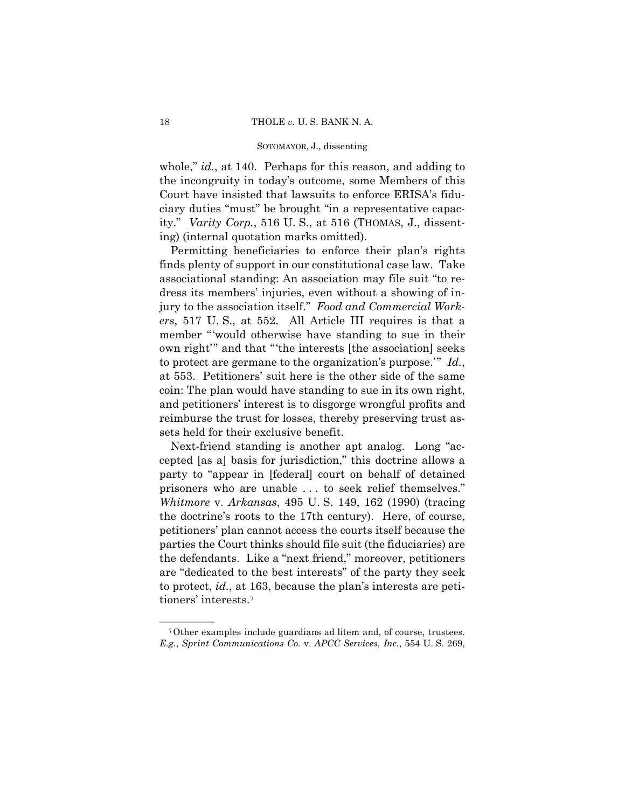whole," *id.*, at 140. Perhaps for this reason, and adding to the incongruity in today's outcome, some Members of this Court have insisted that lawsuits to enforce ERISA's fiduciary duties "must" be brought "in a representative capacity." *Varity Corp.*, 516 U. S., at 516 (THOMAS, J., dissenting) (internal quotation marks omitted).

Permitting beneficiaries to enforce their plan's rights finds plenty of support in our constitutional case law. Take associational standing: An association may file suit "to redress its members' injuries, even without a showing of injury to the association itself." *Food and Commercial Workers*, 517 U. S., at 552. All Article III requires is that a member "'would otherwise have standing to sue in their own right'" and that "'the interests [the association] seeks to protect are germane to the organization's purpose.'" *Id.*, at 553. Petitioners' suit here is the other side of the same coin: The plan would have standing to sue in its own right, and petitioners' interest is to disgorge wrongful profits and reimburse the trust for losses, thereby preserving trust assets held for their exclusive benefit.

Next-friend standing is another apt analog. Long "accepted [as a] basis for jurisdiction," this doctrine allows a party to "appear in [federal] court on behalf of detained prisoners who are unable . . . to seek relief themselves." *Whitmore* v. *Arkansas*, 495 U. S. 149, 162 (1990) (tracing the doctrine's roots to the 17th century). Here, of course, petitioners' plan cannot access the courts itself because the parties the Court thinks should file suit (the fiduciaries) are the defendants. Like a "next friend," moreover, petitioners are "dedicated to the best interests" of the party they seek to protect, *id.*, at 163, because the plan's interests are petitioners' interests.7

<sup>&</sup>lt;sup>7</sup>Other examples include guardians ad litem and, of course, trustees. *E.g.*, *Sprint Communications Co.* v. *APCC Services*, *Inc.*, 554 U. S. 269,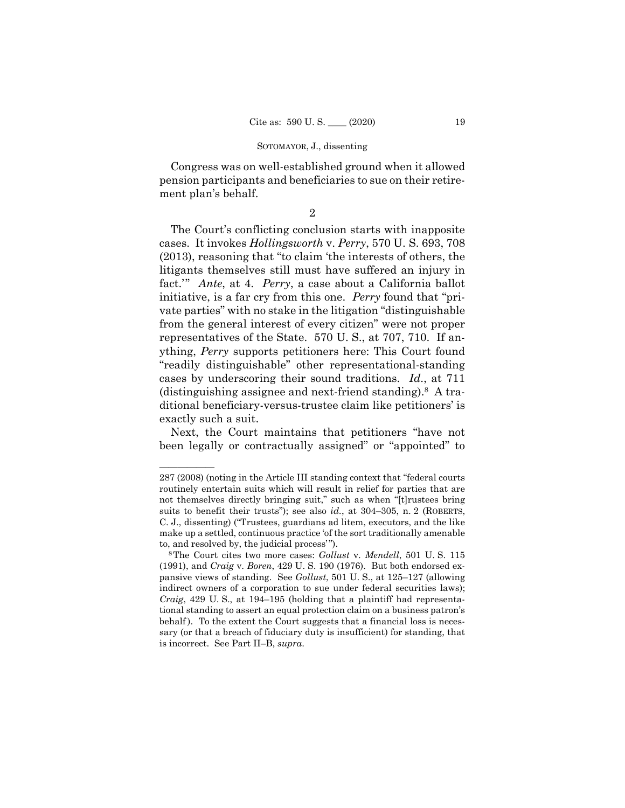Congress was on well-established ground when it allowed pension participants and beneficiaries to sue on their retirement plan's behalf.

2

The Court's conflicting conclusion starts with inapposite cases. It invokes *Hollingsworth* v. *Perry*, 570 U. S. 693, 708 (2013), reasoning that "to claim 'the interests of others, the litigants themselves still must have suffered an injury in fact.'" *Ante*, at 4. *Perry*, a case about a California ballot initiative, is a far cry from this one. *Perry* found that "private parties" with no stake in the litigation "distinguishable from the general interest of every citizen" were not proper representatives of the State. 570 U. S., at 707, 710. If anything, *Perry* supports petitioners here: This Court found "readily distinguishable" other representational-standing cases by underscoring their sound traditions. *Id*., at 711 (distinguishing assignee and next-friend standing).8 A traditional beneficiary-versus-trustee claim like petitioners' is exactly such a suit.

Next, the Court maintains that petitioners "have not been legally or contractually assigned" or "appointed" to

——————

<sup>287 (2008) (</sup>noting in the Article III standing context that "federal courts routinely entertain suits which will result in relief for parties that are not themselves directly bringing suit," such as when "[t]rustees bring suits to benefit their trusts"); see also *id.*, at 304–305, n. 2 (ROBERTS, C. J., dissenting) ("Trustees, guardians ad litem, executors, and the like make up a settled, continuous practice 'of the sort traditionally amenable to, and resolved by, the judicial process'"). 8The Court cites two more cases: *Gollust* v. *Mendell*, 501 U. S. 115

<sup>(1991),</sup> and *Craig* v. *Boren*, 429 U. S. 190 (1976). But both endorsed expansive views of standing. See *Gollust*, 501 U. S., at 125–127 (allowing indirect owners of a corporation to sue under federal securities laws); *Craig*, 429 U. S., at 194–195 (holding that a plaintiff had representational standing to assert an equal protection claim on a business patron's behalf). To the extent the Court suggests that a financial loss is necessary (or that a breach of fiduciary duty is insufficient) for standing, that is incorrect. See Part II–B, *supra*.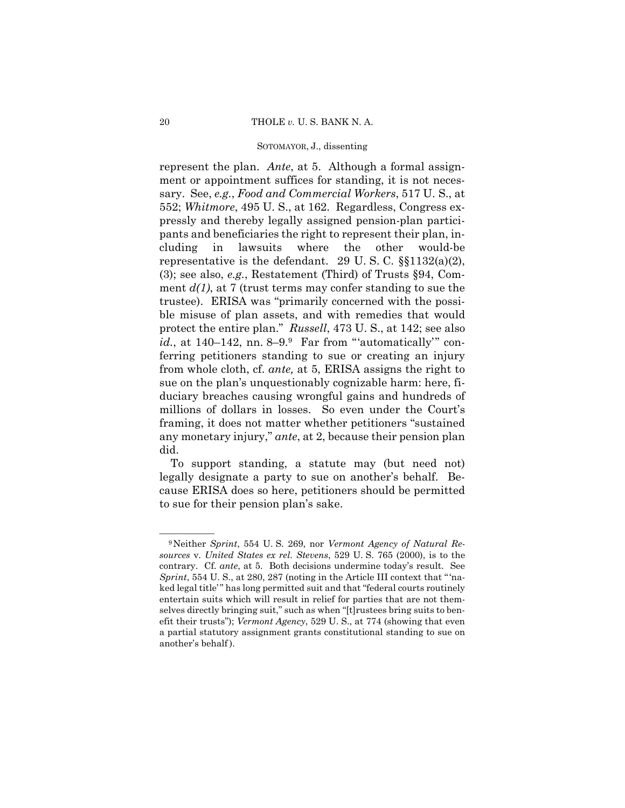552; *Whitmore*, 495 U. S., at 162. Regardless, Congress exrepresent the plan. *Ante*, at 5. Although a formal assignment or appointment suffices for standing, it is not necessary. See, *e.g.*, *Food and Commercial Workers*, 517 U. S., at pressly and thereby legally assigned pension-plan participants and beneficiaries the right to represent their plan, including in lawsuits where the other would-be representative is the defendant. 29 U.S.C.  $\S$ [1132(a)(2), (3); see also, *e.g.*, Restatement (Third) of Trusts §94, Comment  $d(1)$ , at 7 (trust terms may confer standing to sue the trustee). ERISA was "primarily concerned with the possible misuse of plan assets, and with remedies that would protect the entire plan." *Russell*, 473 U. S., at 142; see also *id.*, at 140–142, nn. 8–9.<sup>9</sup> Far from "'automatically'" conferring petitioners standing to sue or creating an injury from whole cloth, cf. *ante,* at 5, ERISA assigns the right to sue on the plan's unquestionably cognizable harm: here, fiduciary breaches causing wrongful gains and hundreds of millions of dollars in losses. So even under the Court's framing, it does not matter whether petitioners "sustained any monetary injury," *ante*, at 2, because their pension plan did.

To support standing, a statute may (but need not) legally designate a party to sue on another's behalf. Because ERISA does so here, petitioners should be permitted to sue for their pension plan's sake.

<sup>&</sup>lt;sup>9</sup>Neither *Sprint*, 554 U.S. 269, nor *Vermont Agency of Natural Resources* v. *United States ex rel. Stevens*, 529 U. S. 765 (2000), is to the contrary. Cf. *ante*, at 5. Both decisions undermine today's result. See *Sprint*, 554 U. S., at 280, 287 (noting in the Article III context that "'naked legal title'" has long permitted suit and that "federal courts routinely entertain suits which will result in relief for parties that are not themselves directly bringing suit," such as when "[t]rustees bring suits to benefit their trusts"); *Vermont Agency*, 529 U. S., at 774 (showing that even a partial statutory assignment grants constitutional standing to sue on another's behalf ).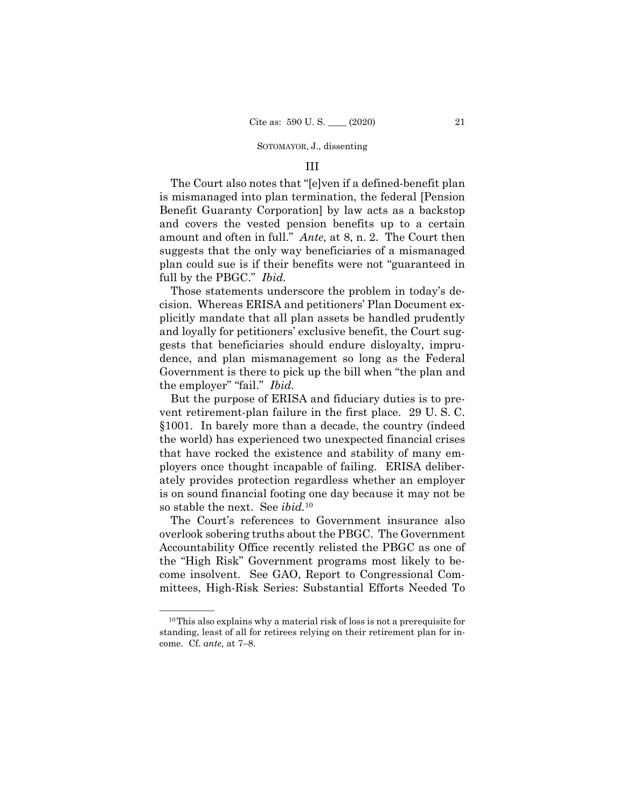## III

The Court also notes that "[e]ven if a defined-benefit plan is mismanaged into plan termination, the federal [Pension Benefit Guaranty Corporation] by law acts as a backstop and covers the vested pension benefits up to a certain amount and often in full." *Ante,* at 8, n. 2. The Court then suggests that the only way beneficiaries of a mismanaged plan could sue is if their benefits were not "guaranteed in full by the PBGC." *Ibid.* 

Those statements underscore the problem in today's decision. Whereas ERISA and petitioners' Plan Document explicitly mandate that all plan assets be handled prudently and loyally for petitioners' exclusive benefit, the Court suggests that beneficiaries should endure disloyalty, imprudence, and plan mismanagement so long as the Federal Government is there to pick up the bill when "the plan and the employer" "fail." *Ibid.* 

But the purpose of ERISA and fiduciary duties is to prevent retirement-plan failure in the first place. 29 U. S. C. §1001. In barely more than a decade, the country (indeed the world) has experienced two unexpected financial crises that have rocked the existence and stability of many employers once thought incapable of failing. ERISA deliberately provides protection regardless whether an employer is on sound financial footing one day because it may not be so stable the next. See *ibid.*<sup>10</sup>

The Court's references to Government insurance also overlook sobering truths about the PBGC. The Government Accountability Office recently relisted the PBGC as one of the "High Risk" Government programs most likely to become insolvent. See GAO, Report to Congressional Committees, High-Risk Series: Substantial Efforts Needed To

 $10$ This also explains why a material risk of loss is not a prerequisite for standing, least of all for retirees relying on their retirement plan for income. Cf. *ante,* at 7–8.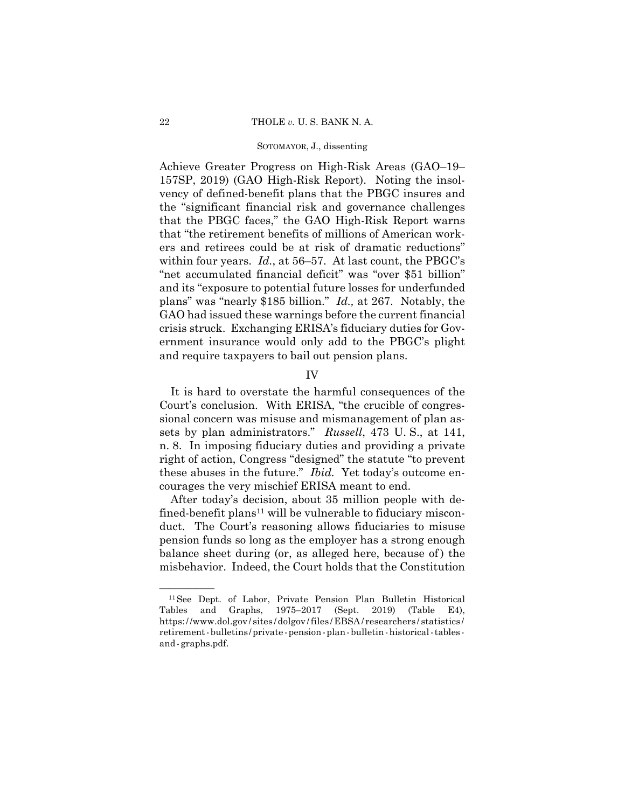Achieve Greater Progress on High-Risk Areas (GAO–19– 157SP, 2019) (GAO High-Risk Report). Noting the insolvency of defined-benefit plans that the PBGC insures and the "significant financial risk and governance challenges that the PBGC faces," the GAO High-Risk Report warns that "the retirement benefits of millions of American workers and retirees could be at risk of dramatic reductions" within four years. *Id.*, at 56–57. At last count, the PBGC's "net accumulated financial deficit" was "over \$51 billion" and its "exposure to potential future losses for underfunded plans" was "nearly \$185 billion." *Id.,* at 267. Notably, the GAO had issued these warnings before the current financial crisis struck. Exchanging ERISA's fiduciary duties for Government insurance would only add to the PBGC's plight and require taxpayers to bail out pension plans.

# IV

It is hard to overstate the harmful consequences of the Court's conclusion. With ERISA, "the crucible of congressional concern was misuse and mismanagement of plan assets by plan administrators." *Russell*, 473 U. S., at 141, n. 8. In imposing fiduciary duties and providing a private right of action, Congress "designed" the statute "to prevent these abuses in the future." *Ibid.* Yet today's outcome encourages the very mischief ERISA meant to end.

After today's decision, about 35 million people with defined-benefit plans<sup>11</sup> will be vulnerable to fiduciary misconduct. The Court's reasoning allows fiduciaries to misuse pension funds so long as the employer has a strong enough balance sheet during (or, as alleged here, because of) the misbehavior. Indeed, the Court holds that the Constitution

 https: / /www.dol.gov / sites / dolgov / files /EBSA / researchers / statistics / retirement-bulletins /private -pension-plan-bulletin-historical-tables - and -graphs.pdf. <sup>11</sup>See Dept. of Labor, Private Pension Plan Bulletin Historical Tables and Graphs, 1975–2017 (Sept. 2019) (Table E4),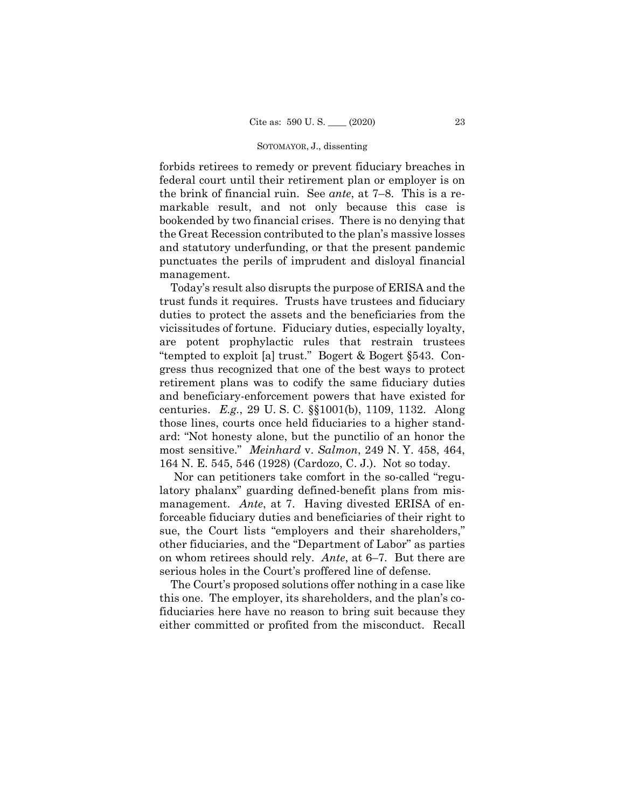forbids retirees to remedy or prevent fiduciary breaches in federal court until their retirement plan or employer is on the brink of financial ruin. See *ante*, at 7–8. This is a remarkable result, and not only because this case is bookended by two financial crises. There is no denying that the Great Recession contributed to the plan's massive losses and statutory underfunding, or that the present pandemic punctuates the perils of imprudent and disloyal financial management.

Today's result also disrupts the purpose of ERISA and the trust funds it requires. Trusts have trustees and fiduciary duties to protect the assets and the beneficiaries from the vicissitudes of fortune. Fiduciary duties, especially loyalty, are potent prophylactic rules that restrain trustees "tempted to exploit [a] trust." Bogert & Bogert §543. Congress thus recognized that one of the best ways to protect retirement plans was to codify the same fiduciary duties and beneficiary-enforcement powers that have existed for centuries. *E.g.*, 29 U. S. C. §§1001(b), 1109, 1132. Along those lines, courts once held fiduciaries to a higher standard: "Not honesty alone, but the punctilio of an honor the most sensitive." *Meinhard* v. *Salmon*, 249 N. Y. 458, 464, 164 N. E. 545, 546 (1928) (Cardozo, C. J.). Not so today.

Nor can petitioners take comfort in the so-called "regulatory phalanx" guarding defined-benefit plans from mismanagement. *Ante*, at 7. Having divested ERISA of enforceable fiduciary duties and beneficiaries of their right to sue, the Court lists "employers and their shareholders," other fiduciaries, and the "Department of Labor" as parties on whom retirees should rely. *Ante*, at 6–7*.* But there are serious holes in the Court's proffered line of defense.

The Court's proposed solutions offer nothing in a case like this one. The employer, its shareholders, and the plan's cofiduciaries here have no reason to bring suit because they either committed or profited from the misconduct. Recall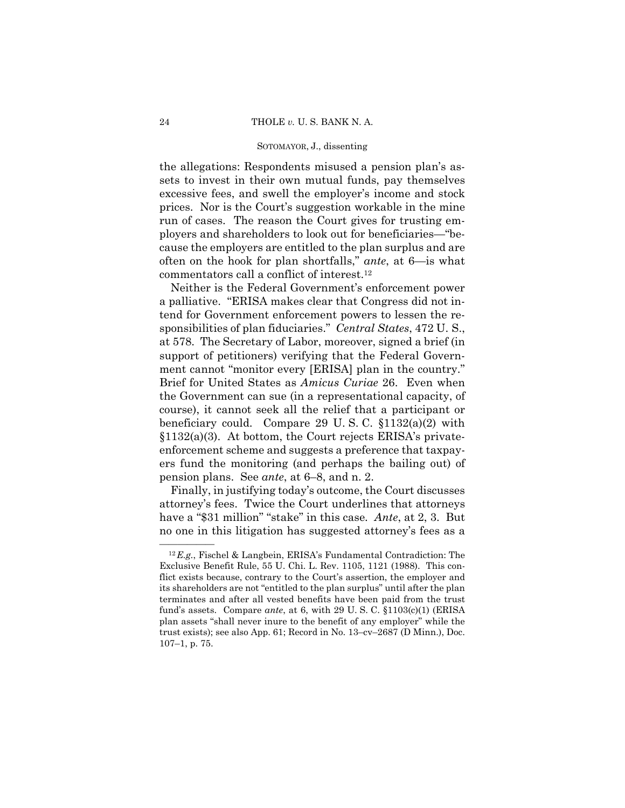the allegations: Respondents misused a pension plan's assets to invest in their own mutual funds, pay themselves excessive fees, and swell the employer's income and stock prices. Nor is the Court's suggestion workable in the mine run of cases. The reason the Court gives for trusting employers and shareholders to look out for beneficiaries—"because the employers are entitled to the plan surplus and are often on the hook for plan shortfalls," *ante*, at 6—is what commentators call a conflict of interest.12

 ment cannot "monitor every [ERISA] plan in the country." Neither is the Federal Government's enforcement power a palliative. "ERISA makes clear that Congress did not intend for Government enforcement powers to lessen the responsibilities of plan fiduciaries." *Central States*, 472 U. S., at 578. The Secretary of Labor, moreover, signed a brief (in support of petitioners) verifying that the Federal Govern-Brief for United States as *Amicus Curiae* 26. Even when the Government can sue (in a representational capacity, of course), it cannot seek all the relief that a participant or beneficiary could. Compare 29 U. S. C. §1132(a)(2) with §1132(a)(3). At bottom, the Court rejects ERISA's privateenforcement scheme and suggests a preference that taxpayers fund the monitoring (and perhaps the bailing out) of pension plans. See *ante*, at 6–8, and n. 2.

 have a "\$31 million" "stake" in this case*. Ante*, at 2, 3. But Finally, in justifying today's outcome, the Court discusses attorney's fees. Twice the Court underlines that attorneys no one in this litigation has suggested attorney's fees as a

 $^{12}E.g.,$  Fischel & Langbein, ERISA's Fundamental Contradiction: The Exclusive Benefit Rule, 55 U. Chi. L. Rev. 1105, 1121 (1988). This conflict exists because, contrary to the Court's assertion, the employer and its shareholders are not "entitled to the plan surplus" until after the plan terminates and after all vested benefits have been paid from the trust fund's assets. Compare *ante*, at 6, with 29 U. S. C. §1103(c)(1) (ERISA plan assets "shall never inure to the benefit of any employer" while the trust exists); see also App. 61; Record in No. 13–cv–2687 (D Minn.), Doc. 107–1, p. 75.